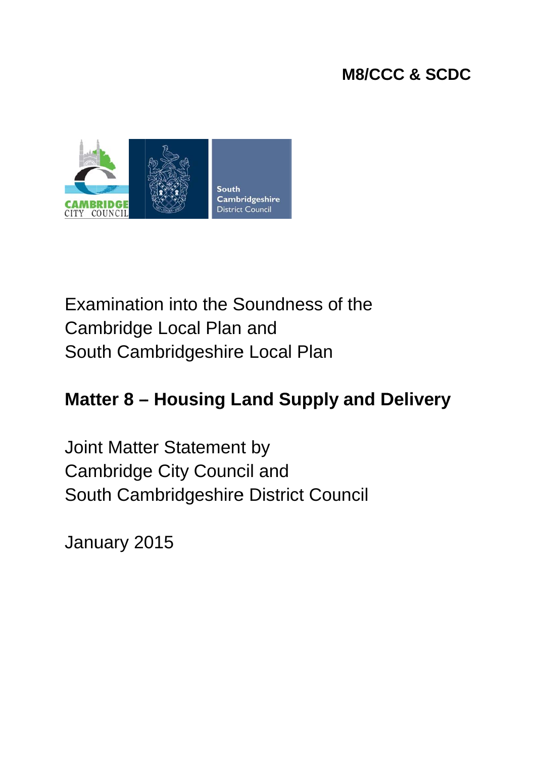## M8/CCC & SCDC



# Examination into the Soundness of the Cambridge Local Plan and South Cambridgeshire Local Plan

## **Matter 8 – Housing Land Supply and Delivery**

Joint Matter Statement by Cambridge City Council and South Cambridgeshire District Council

January 2015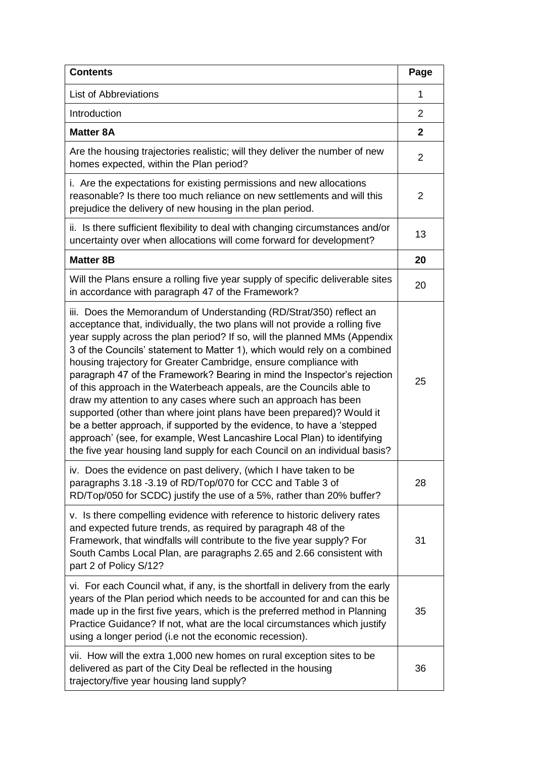| <b>Contents</b>                                                                                                                                                                                                                                                                                                                                                                                                                                                                                                                                                                                                                                                                                                                                                                                                                                                                                                     | Page           |
|---------------------------------------------------------------------------------------------------------------------------------------------------------------------------------------------------------------------------------------------------------------------------------------------------------------------------------------------------------------------------------------------------------------------------------------------------------------------------------------------------------------------------------------------------------------------------------------------------------------------------------------------------------------------------------------------------------------------------------------------------------------------------------------------------------------------------------------------------------------------------------------------------------------------|----------------|
| <b>List of Abbreviations</b>                                                                                                                                                                                                                                                                                                                                                                                                                                                                                                                                                                                                                                                                                                                                                                                                                                                                                        | 1              |
| Introduction                                                                                                                                                                                                                                                                                                                                                                                                                                                                                                                                                                                                                                                                                                                                                                                                                                                                                                        | 2              |
| <b>Matter 8A</b>                                                                                                                                                                                                                                                                                                                                                                                                                                                                                                                                                                                                                                                                                                                                                                                                                                                                                                    | $\mathbf{2}$   |
| Are the housing trajectories realistic; will they deliver the number of new<br>homes expected, within the Plan period?                                                                                                                                                                                                                                                                                                                                                                                                                                                                                                                                                                                                                                                                                                                                                                                              | 2              |
| i. Are the expectations for existing permissions and new allocations<br>reasonable? Is there too much reliance on new settlements and will this<br>prejudice the delivery of new housing in the plan period.                                                                                                                                                                                                                                                                                                                                                                                                                                                                                                                                                                                                                                                                                                        | $\overline{2}$ |
| ii. Is there sufficient flexibility to deal with changing circumstances and/or<br>uncertainty over when allocations will come forward for development?                                                                                                                                                                                                                                                                                                                                                                                                                                                                                                                                                                                                                                                                                                                                                              | 13             |
| <b>Matter 8B</b>                                                                                                                                                                                                                                                                                                                                                                                                                                                                                                                                                                                                                                                                                                                                                                                                                                                                                                    | 20             |
| Will the Plans ensure a rolling five year supply of specific deliverable sites<br>in accordance with paragraph 47 of the Framework?                                                                                                                                                                                                                                                                                                                                                                                                                                                                                                                                                                                                                                                                                                                                                                                 | 20             |
| iii. Does the Memorandum of Understanding (RD/Strat/350) reflect an<br>acceptance that, individually, the two plans will not provide a rolling five<br>year supply across the plan period? If so, will the planned MMs (Appendix<br>3 of the Councils' statement to Matter 1), which would rely on a combined<br>housing trajectory for Greater Cambridge, ensure compliance with<br>paragraph 47 of the Framework? Bearing in mind the Inspector's rejection<br>of this approach in the Waterbeach appeals, are the Councils able to<br>draw my attention to any cases where such an approach has been<br>supported (other than where joint plans have been prepared)? Would it<br>be a better approach, if supported by the evidence, to have a 'stepped<br>approach' (see, for example, West Lancashire Local Plan) to identifying<br>the five year housing land supply for each Council on an individual basis? | 25             |
| iv. Does the evidence on past delivery, (which I have taken to be<br>paragraphs 3.18 -3.19 of RD/Top/070 for CCC and Table 3 of<br>RD/Top/050 for SCDC) justify the use of a 5%, rather than 20% buffer?                                                                                                                                                                                                                                                                                                                                                                                                                                                                                                                                                                                                                                                                                                            | 28             |
| v. Is there compelling evidence with reference to historic delivery rates<br>and expected future trends, as required by paragraph 48 of the<br>Framework, that windfalls will contribute to the five year supply? For<br>South Cambs Local Plan, are paragraphs 2.65 and 2.66 consistent with<br>part 2 of Policy S/12?                                                                                                                                                                                                                                                                                                                                                                                                                                                                                                                                                                                             | 31             |
| vi. For each Council what, if any, is the shortfall in delivery from the early<br>years of the Plan period which needs to be accounted for and can this be<br>made up in the first five years, which is the preferred method in Planning<br>Practice Guidance? If not, what are the local circumstances which justify<br>using a longer period (i.e not the economic recession).                                                                                                                                                                                                                                                                                                                                                                                                                                                                                                                                    | 35             |
| vii. How will the extra 1,000 new homes on rural exception sites to be<br>delivered as part of the City Deal be reflected in the housing<br>trajectory/five year housing land supply?                                                                                                                                                                                                                                                                                                                                                                                                                                                                                                                                                                                                                                                                                                                               | 36             |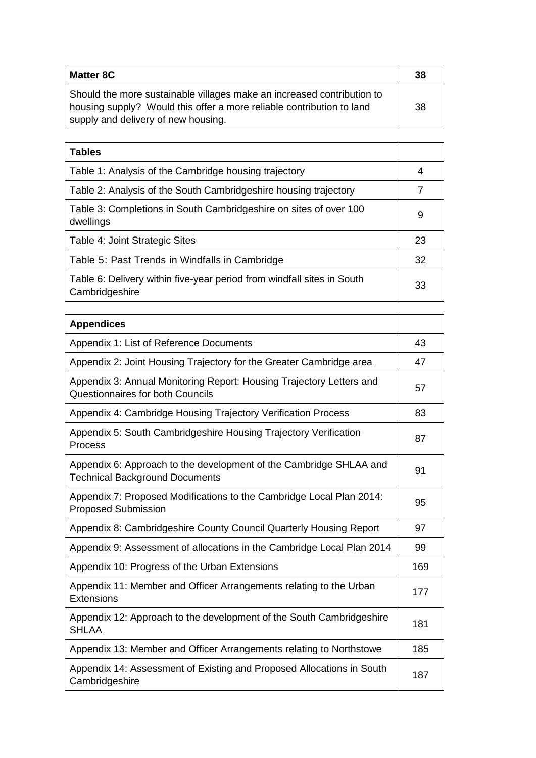| <b>Matter 8C</b>                                                                                                                                                                       | 38  |
|----------------------------------------------------------------------------------------------------------------------------------------------------------------------------------------|-----|
| Should the more sustainable villages make an increased contribution to<br>housing supply? Would this offer a more reliable contribution to land<br>supply and delivery of new housing. | -38 |

| <b>Tables</b>                                                                            |    |
|------------------------------------------------------------------------------------------|----|
| Table 1: Analysis of the Cambridge housing trajectory                                    | 4  |
| Table 2: Analysis of the South Cambridgeshire housing trajectory                         | 7  |
| Table 3: Completions in South Cambridgeshire on sites of over 100<br>dwellings           | 9  |
| Table 4: Joint Strategic Sites                                                           | 23 |
| Table 5: Past Trends in Windfalls in Cambridge                                           | 32 |
| Table 6: Delivery within five-year period from windfall sites in South<br>Cambridgeshire | 33 |

| <b>Appendices</b>                                                                                           |     |  |
|-------------------------------------------------------------------------------------------------------------|-----|--|
| Appendix 1: List of Reference Documents                                                                     | 43  |  |
| Appendix 2: Joint Housing Trajectory for the Greater Cambridge area                                         |     |  |
| Appendix 3: Annual Monitoring Report: Housing Trajectory Letters and<br>Questionnaires for both Councils    |     |  |
| Appendix 4: Cambridge Housing Trajectory Verification Process                                               | 83  |  |
| Appendix 5: South Cambridgeshire Housing Trajectory Verification<br>Process                                 | 87  |  |
| Appendix 6: Approach to the development of the Cambridge SHLAA and<br><b>Technical Background Documents</b> | 91  |  |
| Appendix 7: Proposed Modifications to the Cambridge Local Plan 2014:<br><b>Proposed Submission</b>          | 95  |  |
| Appendix 8: Cambridgeshire County Council Quarterly Housing Report                                          | 97  |  |
| Appendix 9: Assessment of allocations in the Cambridge Local Plan 2014                                      | 99  |  |
| Appendix 10: Progress of the Urban Extensions                                                               | 169 |  |
| Appendix 11: Member and Officer Arrangements relating to the Urban<br><b>Extensions</b>                     | 177 |  |
| Appendix 12: Approach to the development of the South Cambridgeshire<br><b>SHLAA</b>                        | 181 |  |
| Appendix 13: Member and Officer Arrangements relating to Northstowe                                         | 185 |  |
| Appendix 14: Assessment of Existing and Proposed Allocations in South<br>Cambridgeshire                     | 187 |  |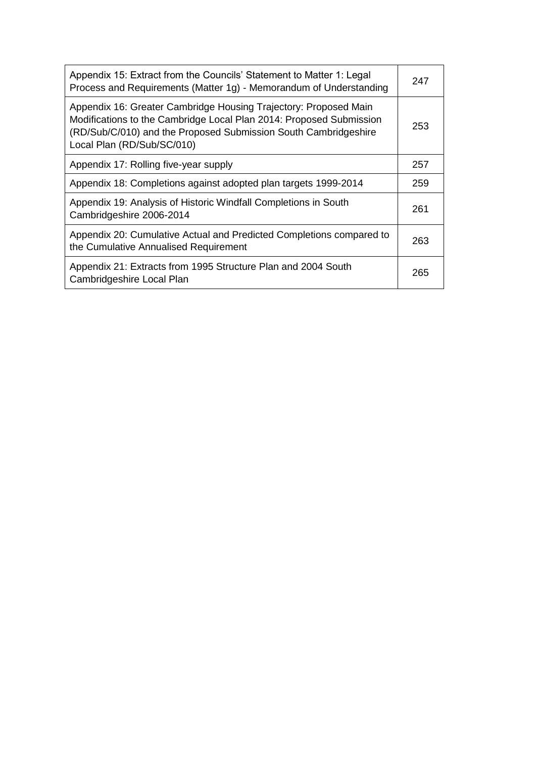| Appendix 15: Extract from the Councils' Statement to Matter 1: Legal<br>Process and Requirements (Matter 1g) - Memorandum of Understanding                                                                                               | 247 |
|------------------------------------------------------------------------------------------------------------------------------------------------------------------------------------------------------------------------------------------|-----|
| Appendix 16: Greater Cambridge Housing Trajectory: Proposed Main<br>Modifications to the Cambridge Local Plan 2014: Proposed Submission<br>(RD/Sub/C/010) and the Proposed Submission South Cambridgeshire<br>Local Plan (RD/Sub/SC/010) | 253 |
| Appendix 17: Rolling five-year supply                                                                                                                                                                                                    | 257 |
| Appendix 18: Completions against adopted plan targets 1999-2014                                                                                                                                                                          | 259 |
| Appendix 19: Analysis of Historic Windfall Completions in South<br>Cambridgeshire 2006-2014                                                                                                                                              | 261 |
| Appendix 20: Cumulative Actual and Predicted Completions compared to<br>the Cumulative Annualised Requirement                                                                                                                            | 263 |
| Appendix 21: Extracts from 1995 Structure Plan and 2004 South<br>Cambridgeshire Local Plan                                                                                                                                               | 265 |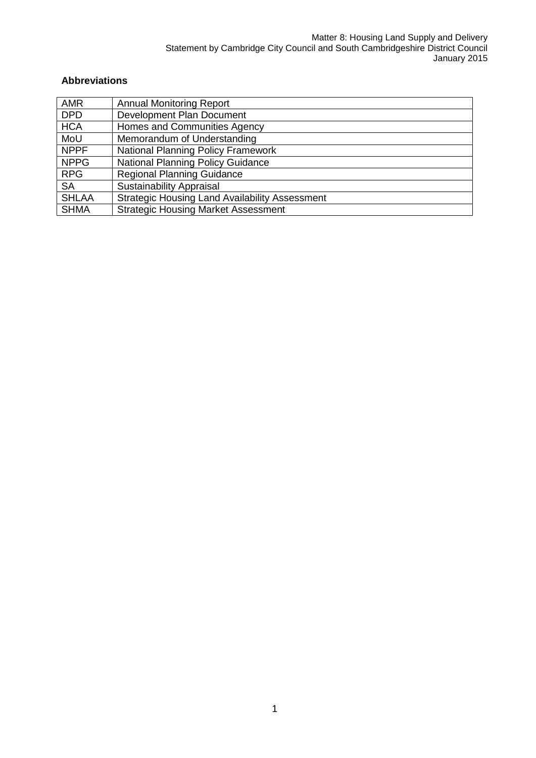#### **Abbreviations**

| <b>AMR</b>   | <b>Annual Monitoring Report</b>                       |
|--------------|-------------------------------------------------------|
| <b>DPD</b>   | Development Plan Document                             |
| <b>HCA</b>   | Homes and Communities Agency                          |
| MoU          | Memorandum of Understanding                           |
| <b>NPPF</b>  | <b>National Planning Policy Framework</b>             |
| <b>NPPG</b>  | <b>National Planning Policy Guidance</b>              |
| <b>RPG</b>   | <b>Regional Planning Guidance</b>                     |
| <b>SA</b>    | <b>Sustainability Appraisal</b>                       |
| <b>SHLAA</b> | <b>Strategic Housing Land Availability Assessment</b> |
| <b>SHMA</b>  | <b>Strategic Housing Market Assessment</b>            |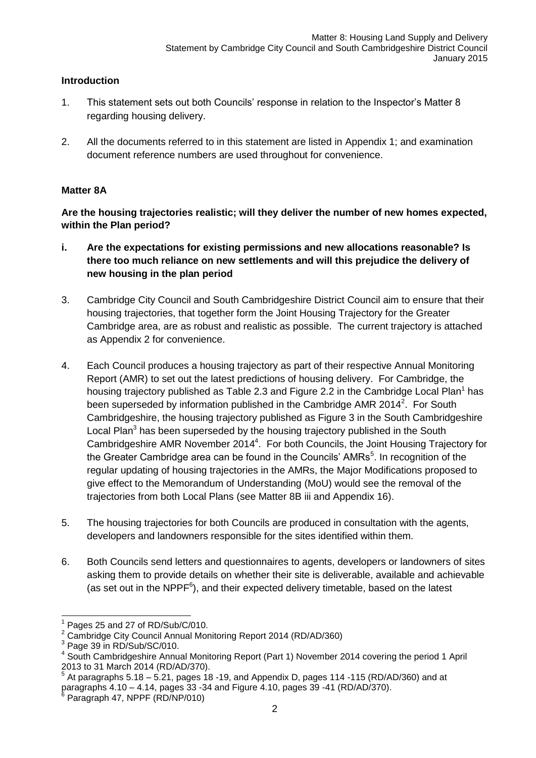#### **Introduction**

- 1. This statement sets out both Councils' response in relation to the Inspector's Matter 8 regarding housing delivery.
- 2. All the documents referred to in this statement are listed in Appendix 1; and examination document reference numbers are used throughout for convenience.

#### **Matter 8A**

**Are the housing trajectories realistic; will they deliver the number of new homes expected, within the Plan period?**

- **i. Are the expectations for existing permissions and new allocations reasonable? Is there too much reliance on new settlements and will this prejudice the delivery of new housing in the plan period**
- 3. Cambridge City Council and South Cambridgeshire District Council aim to ensure that their housing trajectories, that together form the Joint Housing Trajectory for the Greater Cambridge area, are as robust and realistic as possible. The current trajectory is attached as Appendix 2 for convenience.
- 4. Each Council produces a housing trajectory as part of their respective Annual Monitoring Report (AMR) to set out the latest predictions of housing delivery. For Cambridge, the housing trajectory published as Table 2.3 and Figure 2.2 in the Cambridge Local Plan<sup>1</sup> has been superseded by information published in the Cambridge AMR 2014<sup>2</sup>. For South Cambridgeshire, the housing trajectory published as Figure 3 in the South Cambridgeshire Local Plan<sup>3</sup> has been superseded by the housing trajectory published in the South Cambridgeshire AMR November 2014<sup>4</sup>. For both Councils, the Joint Housing Trajectory for the Greater Cambridge area can be found in the Councils' AMRs<sup>5</sup>. In recognition of the regular updating of housing trajectories in the AMRs, the Major Modifications proposed to give effect to the Memorandum of Understanding (MoU) would see the removal of the trajectories from both Local Plans (see Matter 8B iii and Appendix 16).
- 5. The housing trajectories for both Councils are produced in consultation with the agents, developers and landowners responsible for the sites identified within them.
- 6. Both Councils send letters and questionnaires to agents, developers or landowners of sites asking them to provide details on whether their site is deliverable, available and achievable (as set out in the NPP $F<sup>6</sup>$ ), and their expected delivery timetable, based on the latest

<sup>-</sup>1 Pages 25 and 27 of RD/Sub/C/010.

<sup>&</sup>lt;sup>2</sup> Cambridge City Council Annual Monitoring Report 2014 (RD/AD/360)

<sup>&</sup>lt;sup>3</sup> Page 39 in RD/Sub/SC/010.

<sup>4</sup> South Cambridgeshire Annual Monitoring Report (Part 1) November 2014 covering the period 1 April 2013 to 31 March 2014 (RD/AD/370).

<sup>5</sup> At paragraphs 5.18 – 5.21, pages 18 -19, and Appendix D, pages 114 -115 (RD/AD/360) and at paragraphs 4.10 – 4.14, pages 33 -34 and Figure 4.10, pages 39 -41 (RD/AD/370).<br><sup>6</sup> Beregraph 47, NPPE (BD/NR/010).

Paragraph 47, NPPF (RD/NP/010)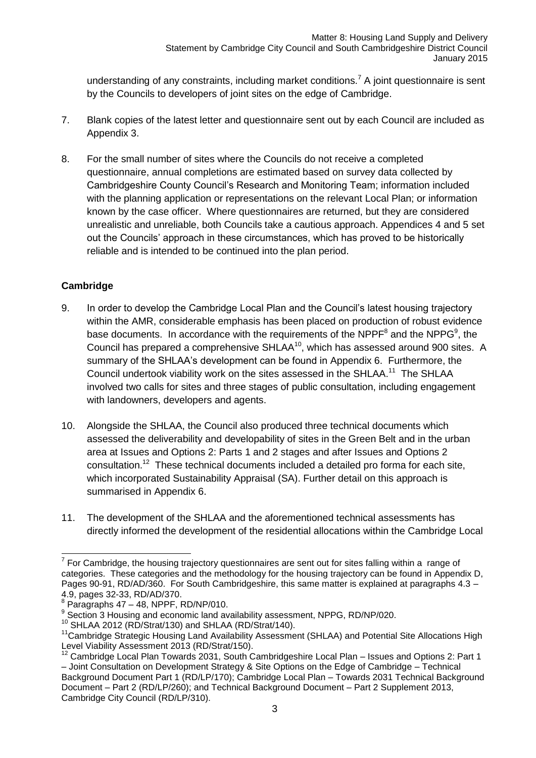understanding of any constraints, including market conditions.<sup>7</sup> A joint questionnaire is sent by the Councils to developers of joint sites on the edge of Cambridge.

- 7. Blank copies of the latest letter and questionnaire sent out by each Council are included as Appendix 3.
- 8. For the small number of sites where the Councils do not receive a completed questionnaire, annual completions are estimated based on survey data collected by Cambridgeshire County Council's Research and Monitoring Team; information included with the planning application or representations on the relevant Local Plan; or information known by the case officer. Where questionnaires are returned, but they are considered unrealistic and unreliable, both Councils take a cautious approach. Appendices 4 and 5 set out the Councils' approach in these circumstances, which has proved to be historically reliable and is intended to be continued into the plan period.

#### **Cambridge**

- 9. In order to develop the Cambridge Local Plan and the Council's latest housing trajectory within the AMR, considerable emphasis has been placed on production of robust evidence base documents. In accordance with the requirements of the NPPF<sup>8</sup> and the NPPG<sup>9</sup>, the Council has prepared a comprehensive SHLAA<sup>10</sup>, which has assessed around 900 sites. A summary of the SHLAA's development can be found in Appendix 6. Furthermore, the Council undertook viability work on the sites assessed in the SHLAA.<sup>11</sup> The SHLAA involved two calls for sites and three stages of public consultation, including engagement with landowners, developers and agents.
- 10. Alongside the SHLAA, the Council also produced three technical documents which assessed the deliverability and developability of sites in the Green Belt and in the urban area at Issues and Options 2: Parts 1 and 2 stages and after Issues and Options 2 consultation.<sup>12</sup> These technical documents included a detailed pro forma for each site, which incorporated Sustainability Appraisal (SA). Further detail on this approach is summarised in Appendix 6.
- 11. The development of the SHLAA and the aforementioned technical assessments has directly informed the development of the residential allocations within the Cambridge Local

 7 For Cambridge, the housing trajectory questionnaires are sent out for sites falling within a range of categories. These categories and the methodology for the housing trajectory can be found in Appendix D, Pages 90-91, RD/AD/360. For South Cambridgeshire, this same matter is explained at paragraphs 4.3 – 4.9, pages 32-33, RD/AD/370.

 $8$  Paragraphs 47 – 48, NPPF, RD/NP/010.

<sup>&</sup>lt;sup>9</sup> Section 3 Housing and economic land availability assessment, NPPG, RD/NP/020.

<sup>10</sup> SHLAA 2012 (RD/Strat/130) and SHLAA (RD/Strat/140).

<sup>&</sup>lt;sup>11</sup>Cambridge Strategic Housing Land Availability Assessment (SHLAA) and Potential Site Allocations High Level Viability Assessment 2013 (RD/Strat/150).

<sup>12</sup> Cambridge Local Plan Towards 2031, South Cambridgeshire Local Plan – Issues and Options 2: Part 1 – Joint Consultation on Development Strategy & Site Options on the Edge of Cambridge – Technical Background Document Part 1 (RD/LP/170); Cambridge Local Plan – Towards 2031 Technical Background Document – Part 2 (RD/LP/260); and Technical Background Document – Part 2 Supplement 2013, Cambridge City Council (RD/LP/310).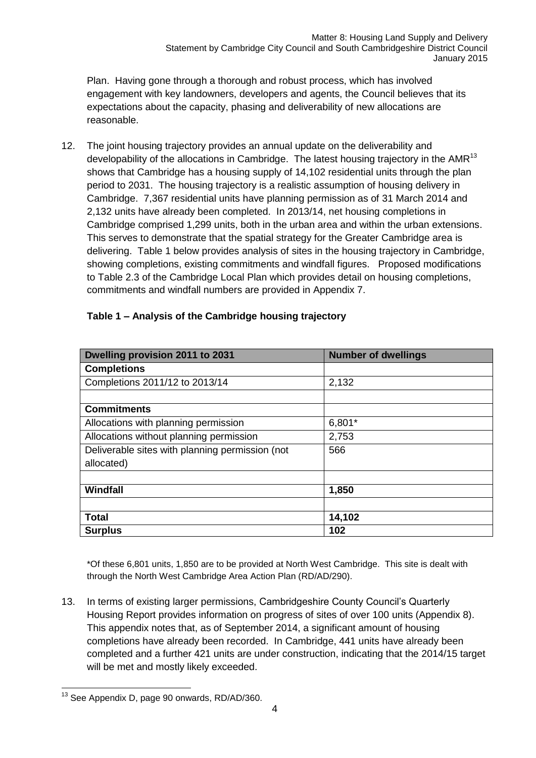Plan. Having gone through a thorough and robust process, which has involved engagement with key landowners, developers and agents, the Council believes that its expectations about the capacity, phasing and deliverability of new allocations are reasonable.

12. The joint housing trajectory provides an annual update on the deliverability and developability of the allocations in Cambridge. The latest housing trajectory in the AMR<sup>13</sup> shows that Cambridge has a housing supply of 14,102 residential units through the plan period to 2031. The housing trajectory is a realistic assumption of housing delivery in Cambridge. 7,367 residential units have planning permission as of 31 March 2014 and 2,132 units have already been completed. In 2013/14, net housing completions in Cambridge comprised 1,299 units, both in the urban area and within the urban extensions. This serves to demonstrate that the spatial strategy for the Greater Cambridge area is delivering. Table 1 below provides analysis of sites in the housing trajectory in Cambridge, showing completions, existing commitments and windfall figures. Proposed modifications to Table 2.3 of the Cambridge Local Plan which provides detail on housing completions, commitments and windfall numbers are provided in Appendix 7.

| Dwelling provision 2011 to 2031                 | <b>Number of dwellings</b> |
|-------------------------------------------------|----------------------------|
| <b>Completions</b>                              |                            |
| Completions 2011/12 to 2013/14                  | 2,132                      |
|                                                 |                            |
| <b>Commitments</b>                              |                            |
| Allocations with planning permission            | $6,801*$                   |
| Allocations without planning permission         | 2,753                      |
| Deliverable sites with planning permission (not | 566                        |
| allocated)                                      |                            |
|                                                 |                            |
| Windfall                                        | 1,850                      |
|                                                 |                            |
| <b>Total</b>                                    | 14,102                     |
| <b>Surplus</b>                                  | 102                        |

#### **Table 1 – Analysis of the Cambridge housing trajectory**

\*Of these 6,801 units, 1,850 are to be provided at North West Cambridge. This site is dealt with through the North West Cambridge Area Action Plan (RD/AD/290).

13. In terms of existing larger permissions, Cambridgeshire County Council's Quarterly Housing Report provides information on progress of sites of over 100 units (Appendix 8). This appendix notes that, as of September 2014, a significant amount of housing completions have already been recorded. In Cambridge, 441 units have already been completed and a further 421 units are under construction, indicating that the 2014/15 target will be met and mostly likely exceeded.

<sup>-</sup><sup>13</sup> See Appendix D, page 90 onwards, RD/AD/360.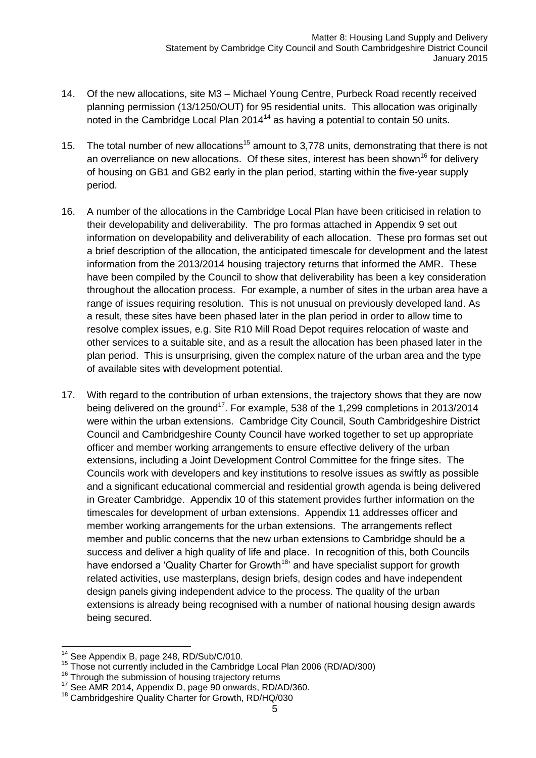- 14. Of the new allocations, site M3 Michael Young Centre, Purbeck Road recently received planning permission (13/1250/OUT) for 95 residential units. This allocation was originally noted in the Cambridge Local Plan  $2014<sup>14</sup>$  as having a potential to contain 50 units.
- 15. The total number of new allocations<sup>15</sup> amount to 3,778 units, demonstrating that there is not an overreliance on new allocations. Of these sites, interest has been shown<sup>16</sup> for delivery of housing on GB1 and GB2 early in the plan period, starting within the five-year supply period.
- 16. A number of the allocations in the Cambridge Local Plan have been criticised in relation to their developability and deliverability. The pro formas attached in Appendix 9 set out information on developability and deliverability of each allocation. These pro formas set out a brief description of the allocation, the anticipated timescale for development and the latest information from the 2013/2014 housing trajectory returns that informed the AMR. These have been compiled by the Council to show that deliverability has been a key consideration throughout the allocation process. For example, a number of sites in the urban area have a range of issues requiring resolution. This is not unusual on previously developed land. As a result, these sites have been phased later in the plan period in order to allow time to resolve complex issues, e.g. Site R10 Mill Road Depot requires relocation of waste and other services to a suitable site, and as a result the allocation has been phased later in the plan period. This is unsurprising, given the complex nature of the urban area and the type of available sites with development potential.
- 17. With regard to the contribution of urban extensions, the trajectory shows that they are now being delivered on the ground<sup>17</sup>. For example, 538 of the 1,299 completions in 2013/2014 were within the urban extensions. Cambridge City Council, South Cambridgeshire District Council and Cambridgeshire County Council have worked together to set up appropriate officer and member working arrangements to ensure effective delivery of the urban extensions, including a Joint Development Control Committee for the fringe sites. The Councils work with developers and key institutions to resolve issues as swiftly as possible and a significant educational commercial and residential growth agenda is being delivered in Greater Cambridge. Appendix 10 of this statement provides further information on the timescales for development of urban extensions. Appendix 11 addresses officer and member working arrangements for the urban extensions. The arrangements reflect member and public concerns that the new urban extensions to Cambridge should be a success and deliver a high quality of life and place. In recognition of this, both Councils have endorsed a 'Quality Charter for Growth<sup>18</sup>' and have specialist support for growth related activities, use masterplans, design briefs, design codes and have independent design panels giving independent advice to the process. The quality of the urban extensions is already being recognised with a number of national housing design awards being secured.

<sup>-</sup>See Appendix B, page 248, RD/Sub/C/010.

<sup>&</sup>lt;sup>15</sup> Those not currently included in the Cambridge Local Plan 2006 (RD/AD/300)

<sup>&</sup>lt;sup>16</sup> Through the submission of housing trajectory returns

<sup>17</sup> See AMR 2014, Appendix D, page 90 onwards, RD/AD/360.

<sup>&</sup>lt;sup>18</sup> Cambridgeshire Quality Charter for Growth, RD/HQ/030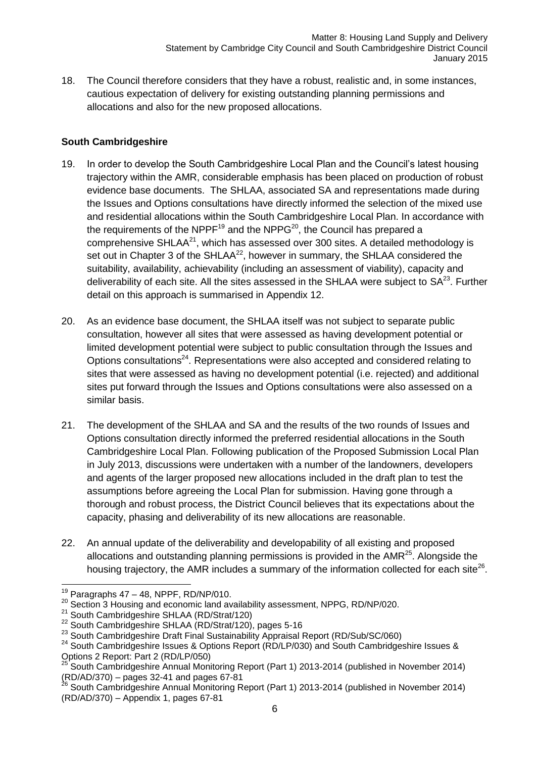18. The Council therefore considers that they have a robust, realistic and, in some instances, cautious expectation of delivery for existing outstanding planning permissions and allocations and also for the new proposed allocations.

#### **South Cambridgeshire**

- 19. In order to develop the South Cambridgeshire Local Plan and the Council's latest housing trajectory within the AMR, considerable emphasis has been placed on production of robust evidence base documents. The SHLAA, associated SA and representations made during the Issues and Options consultations have directly informed the selection of the mixed use and residential allocations within the South Cambridgeshire Local Plan. In accordance with the requirements of the NPPF<sup>19</sup> and the NPPG<sup>20</sup>, the Council has prepared a comprehensive SHLAA $^{21}$ , which has assessed over 300 sites. A detailed methodology is set out in Chapter 3 of the SHLAA<sup>22</sup>, however in summary, the SHLAA considered the suitability, availability, achievability (including an assessment of viability), capacity and deliverability of each site. All the sites assessed in the SHLAA were subject to  $SA^{23}$ . Further detail on this approach is summarised in Appendix 12.
- 20. As an evidence base document, the SHLAA itself was not subject to separate public consultation, however all sites that were assessed as having development potential or limited development potential were subject to public consultation through the Issues and Options consultations<sup>24</sup>. Representations were also accepted and considered relating to sites that were assessed as having no development potential (i.e. rejected) and additional sites put forward through the Issues and Options consultations were also assessed on a similar basis.
- 21. The development of the SHLAA and SA and the results of the two rounds of Issues and Options consultation directly informed the preferred residential allocations in the South Cambridgeshire Local Plan. Following publication of the Proposed Submission Local Plan in July 2013, discussions were undertaken with a number of the landowners, developers and agents of the larger proposed new allocations included in the draft plan to test the assumptions before agreeing the Local Plan for submission. Having gone through a thorough and robust process, the District Council believes that its expectations about the capacity, phasing and deliverability of its new allocations are reasonable.
- 22. An annual update of the deliverability and developability of all existing and proposed allocations and outstanding planning permissions is provided in the  $AMR<sup>25</sup>$ . Alongside the housing trajectory, the AMR includes a summary of the information collected for each site<sup>26</sup>.

 $\overline{a}$  $19$  Paragraphs 47 – 48, NPPF, RD/NP/010.

<sup>&</sup>lt;sup>20</sup> Section 3 Housing and economic land availability assessment, NPPG, RD/NP/020.

<sup>&</sup>lt;sup>21</sup> South Cambridgeshire SHLAA (RD/Strat/120)

<sup>&</sup>lt;sup>22</sup> South Cambridgeshire SHLAA (RD/Strat/120), pages 5-16

<sup>&</sup>lt;sup>23</sup> South Cambridgeshire Draft Final Sustainability Appraisal Report (RD/Sub/SC/060)

<sup>&</sup>lt;sup>24</sup> South Cambridgeshire Issues & Options Report (RD/LP/030) and South Cambridgeshire Issues & Options 2 Report: Part 2 (RD/LP/050)

<sup>25</sup> South Cambridgeshire Annual Monitoring Report (Part 1) 2013-2014 (published in November 2014) (RD/AD/370) – pages 32-41 and pages 67-81

<sup>26</sup> South Cambridgeshire Annual Monitoring Report (Part 1) 2013-2014 (published in November 2014) (RD/AD/370) – Appendix 1, pages 67-81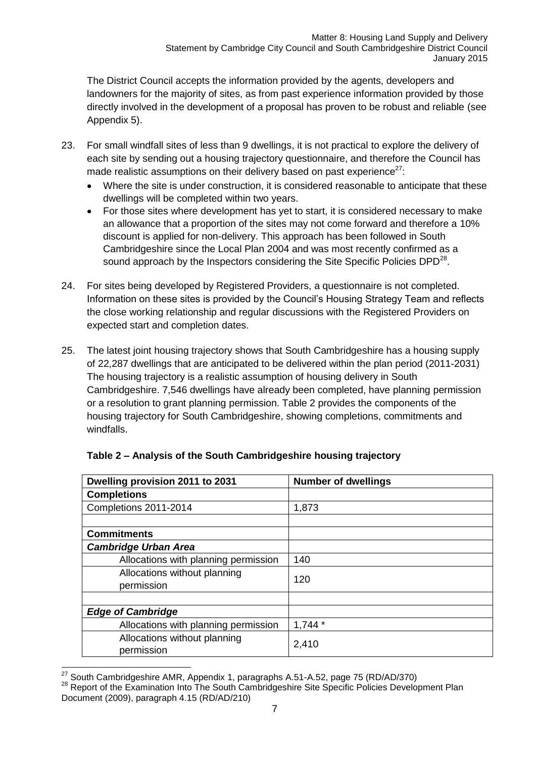The District Council accepts the information provided by the agents, developers and landowners for the majority of sites, as from past experience information provided by those directly involved in the development of a proposal has proven to be robust and reliable (see Appendix 5).

- 23. For small windfall sites of less than 9 dwellings, it is not practical to explore the delivery of each site by sending out a housing trajectory questionnaire, and therefore the Council has made realistic assumptions on their delivery based on past experience<sup>27</sup>:
	- Where the site is under construction, it is considered reasonable to anticipate that these  $\blacksquare$ dwellings will be completed within two years.
	- For those sites where development has yet to start, it is considered necessary to make an allowance that a proportion of the sites may not come forward and therefore a 10% discount is applied for non-delivery. This approach has been followed in South Cambridgeshire since the Local Plan 2004 and was most recently confirmed as a sound approach by the Inspectors considering the Site Specific Policies DPD $^{28}$ .
- 24. For sites being developed by Registered Providers, a questionnaire is not completed. Information on these sites is provided by the Council's Housing Strategy Team and reflects the close working relationship and regular discussions with the Registered Providers on expected start and completion dates.
- 25. The latest joint housing trajectory shows that South Cambridgeshire has a housing supply of 22,287 dwellings that are anticipated to be delivered within the plan period (2011-2031) The housing trajectory is a realistic assumption of housing delivery in South Cambridgeshire. 7,546 dwellings have already been completed, have planning permission or a resolution to grant planning permission. Table 2 provides the components of the housing trajectory for South Cambridgeshire, showing completions, commitments and windfalls.

| Dwelling provision 2011 to 2031      | <b>Number of dwellings</b> |
|--------------------------------------|----------------------------|
| <b>Completions</b>                   |                            |
| Completions 2011-2014                | 1,873                      |
|                                      |                            |
| <b>Commitments</b>                   |                            |
| <b>Cambridge Urban Area</b>          |                            |
| Allocations with planning permission | 140                        |
| Allocations without planning         | 120                        |
| permission                           |                            |
|                                      |                            |
| <b>Edge of Cambridge</b>             |                            |
| Allocations with planning permission | $1,744*$                   |
| Allocations without planning         | 2,410                      |
| permission                           |                            |

### **Table 2 – Analysis of the South Cambridgeshire housing trajectory**

 $\overline{a}$  $^{27}$  South Cambridgeshire AMR, Appendix 1, paragraphs A.51-A.52, page 75 (RD/AD/370)

<sup>28</sup> Report of the Examination Into The South Cambridgeshire Site Specific Policies Development Plan Document (2009), paragraph 4.15 (RD/AD/210)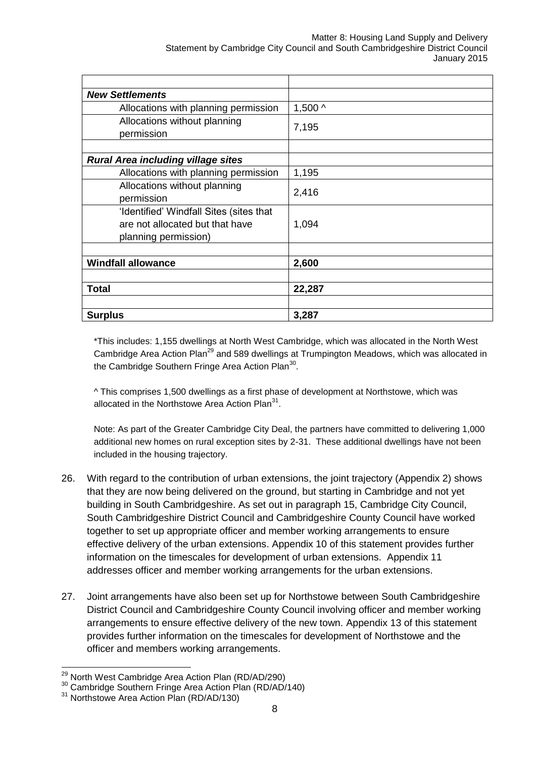#### Matter 8: Housing Land Supply and Delivery Statement by Cambridge City Council and South Cambridgeshire District Council January 2015

| <b>New Settlements</b>                                                                             |                    |
|----------------------------------------------------------------------------------------------------|--------------------|
| Allocations with planning permission                                                               | 1,500 <sub>0</sub> |
| Allocations without planning<br>permission                                                         | 7,195              |
| <b>Rural Area including village sites</b>                                                          |                    |
| Allocations with planning permission                                                               | 1,195              |
| Allocations without planning<br>permission                                                         | 2,416              |
| 'Identified' Windfall Sites (sites that<br>are not allocated but that have<br>planning permission) | 1,094              |
|                                                                                                    |                    |
| <b>Windfall allowance</b>                                                                          | 2,600              |
|                                                                                                    |                    |
| <b>Total</b>                                                                                       | 22,287             |
|                                                                                                    |                    |
| <b>Surplus</b>                                                                                     | 3,287              |

\*This includes: 1,155 dwellings at North West Cambridge, which was allocated in the North West Cambridge Area Action Plan<sup>29</sup> and 589 dwellings at Trumpington Meadows, which was allocated in the Cambridge Southern Fringe Area Action Plan $^{30}$ .

^ This comprises 1,500 dwellings as a first phase of development at Northstowe, which was allocated in the Northstowe Area Action Plan $31$ .

Note: As part of the Greater Cambridge City Deal, the partners have committed to delivering 1,000 additional new homes on rural exception sites by 2-31. These additional dwellings have not been included in the housing trajectory.

- 26. With regard to the contribution of urban extensions, the joint trajectory (Appendix 2) shows that they are now being delivered on the ground, but starting in Cambridge and not yet building in South Cambridgeshire. As set out in paragraph 15, Cambridge City Council, South Cambridgeshire District Council and Cambridgeshire County Council have worked together to set up appropriate officer and member working arrangements to ensure effective delivery of the urban extensions. Appendix 10 of this statement provides further information on the timescales for development of urban extensions. Appendix 11 addresses officer and member working arrangements for the urban extensions.
- 27. Joint arrangements have also been set up for Northstowe between South Cambridgeshire District Council and Cambridgeshire County Council involving officer and member working arrangements to ensure effective delivery of the new town. Appendix 13 of this statement provides further information on the timescales for development of Northstowe and the officer and members working arrangements.

 $\overline{a}$ <sup>29</sup> North West Cambridge Area Action Plan (RD/AD/290)

<sup>30</sup> Cambridge Southern Fringe Area Action Plan (RD/AD/140)

<sup>31</sup> Northstowe Area Action Plan (RD/AD/130)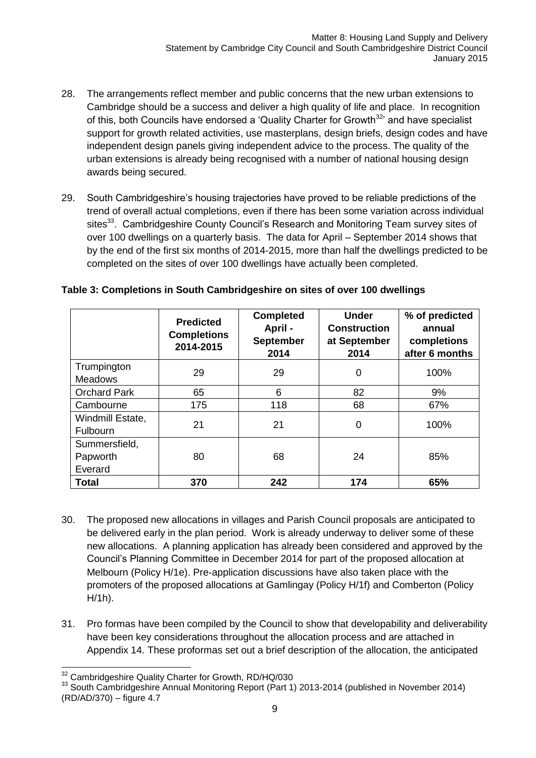- 28. The arrangements reflect member and public concerns that the new urban extensions to Cambridge should be a success and deliver a high quality of life and place. In recognition of this, both Councils have endorsed a 'Quality Charter for Growth<sup>32</sup>' and have specialist support for growth related activities, use masterplans, design briefs, design codes and have independent design panels giving independent advice to the process. The quality of the urban extensions is already being recognised with a number of national housing design awards being secured.
- 29. South Cambridgeshire's housing trajectories have proved to be reliable predictions of the trend of overall actual completions, even if there has been some variation across individual sites<sup>33</sup>. Cambridgeshire County Council's Research and Monitoring Team survey sites of over 100 dwellings on a quarterly basis. The data for April – September 2014 shows that by the end of the first six months of 2014-2015, more than half the dwellings predicted to be completed on the sites of over 100 dwellings have actually been completed.

|                                      | <b>Predicted</b><br><b>Completions</b><br>2014-2015 | <b>Completed</b><br>April -<br><b>September</b><br>2014 | <b>Under</b><br><b>Construction</b><br>at September<br>2014 | % of predicted<br>annual<br>completions<br>after 6 months |
|--------------------------------------|-----------------------------------------------------|---------------------------------------------------------|-------------------------------------------------------------|-----------------------------------------------------------|
| Trumpington<br><b>Meadows</b>        | 29                                                  | 29                                                      | $\mathbf 0$                                                 | 100%                                                      |
| <b>Orchard Park</b>                  | 65                                                  | 6                                                       | 82                                                          | 9%                                                        |
| Cambourne                            | 175                                                 | 118                                                     | 68                                                          | 67%                                                       |
| Windmill Estate,<br><b>Fulbourn</b>  | 21                                                  | 21                                                      | 0                                                           | 100%                                                      |
| Summersfield,<br>Papworth<br>Everard | 80                                                  | 68                                                      | 24                                                          | 85%                                                       |
| <b>Total</b>                         | 370                                                 | 242                                                     | 174                                                         | 65%                                                       |

#### **Table 3: Completions in South Cambridgeshire on sites of over 100 dwellings**

- 30. The proposed new allocations in villages and Parish Council proposals are anticipated to be delivered early in the plan period. Work is already underway to deliver some of these new allocations. A planning application has already been considered and approved by the Council's Planning Committee in December 2014 for part of the proposed allocation at Melbourn (Policy H/1e). Pre-application discussions have also taken place with the promoters of the proposed allocations at Gamlingay (Policy H/1f) and Comberton (Policy H/1h).
- 31. Pro formas have been compiled by the Council to show that developability and deliverability have been key considerations throughout the allocation process and are attached in Appendix 14. These proformas set out a brief description of the allocation, the anticipated

 $\overline{1}$  $32$  Cambridgeshire Quality Charter for Growth, RD/HQ/030

<sup>33</sup> South Cambridgeshire Annual Monitoring Report (Part 1) 2013-2014 (published in November 2014) (RD/AD/370) – figure 4.7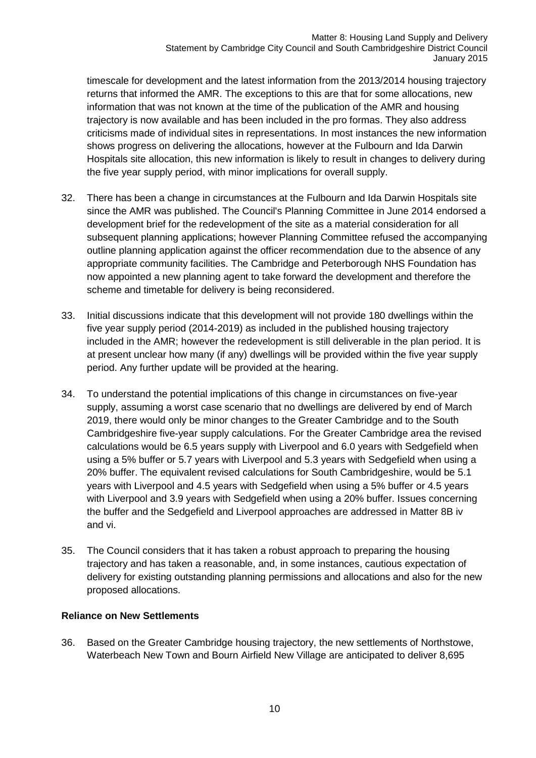timescale for development and the latest information from the 2013/2014 housing trajectory returns that informed the AMR. The exceptions to this are that for some allocations, new information that was not known at the time of the publication of the AMR and housing trajectory is now available and has been included in the pro formas. They also address criticisms made of individual sites in representations. In most instances the new information shows progress on delivering the allocations, however at the Fulbourn and Ida Darwin Hospitals site allocation, this new information is likely to result in changes to delivery during the five year supply period, with minor implications for overall supply.

- 32. There has been a change in circumstances at the Fulbourn and Ida Darwin Hospitals site since the AMR was published. The Council's Planning Committee in June 2014 endorsed a development brief for the redevelopment of the site as a material consideration for all subsequent planning applications; however Planning Committee refused the accompanying outline planning application against the officer recommendation due to the absence of any appropriate community facilities. The Cambridge and Peterborough NHS Foundation has now appointed a new planning agent to take forward the development and therefore the scheme and timetable for delivery is being reconsidered.
- 33. Initial discussions indicate that this development will not provide 180 dwellings within the five year supply period (2014-2019) as included in the published housing trajectory included in the AMR; however the redevelopment is still deliverable in the plan period. It is at present unclear how many (if any) dwellings will be provided within the five year supply period. Any further update will be provided at the hearing.
- 34. To understand the potential implications of this change in circumstances on five-year supply, assuming a worst case scenario that no dwellings are delivered by end of March 2019, there would only be minor changes to the Greater Cambridge and to the South Cambridgeshire five-year supply calculations. For the Greater Cambridge area the revised calculations would be 6.5 years supply with Liverpool and 6.0 years with Sedgefield when using a 5% buffer or 5.7 years with Liverpool and 5.3 years with Sedgefield when using a 20% buffer. The equivalent revised calculations for South Cambridgeshire, would be 5.1 years with Liverpool and 4.5 years with Sedgefield when using a 5% buffer or 4.5 years with Liverpool and 3.9 years with Sedgefield when using a 20% buffer. Issues concerning the buffer and the Sedgefield and Liverpool approaches are addressed in Matter 8B iv and vi.
- 35. The Council considers that it has taken a robust approach to preparing the housing trajectory and has taken a reasonable, and, in some instances, cautious expectation of delivery for existing outstanding planning permissions and allocations and also for the new proposed allocations.

#### **Reliance on New Settlements**

36. Based on the Greater Cambridge housing trajectory, the new settlements of Northstowe, Waterbeach New Town and Bourn Airfield New Village are anticipated to deliver 8,695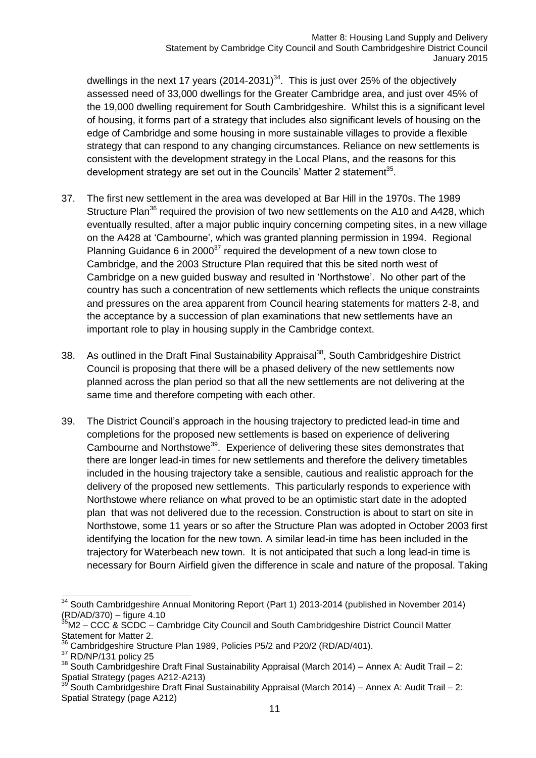dwellings in the next 17 years (2014-2031) $34$ . This is just over 25% of the objectively assessed need of 33,000 dwellings for the Greater Cambridge area, and just over 45% of the 19,000 dwelling requirement for South Cambridgeshire. Whilst this is a significant level of housing, it forms part of a strategy that includes also significant levels of housing on the edge of Cambridge and some housing in more sustainable villages to provide a flexible strategy that can respond to any changing circumstances. Reliance on new settlements is consistent with the development strategy in the Local Plans, and the reasons for this development strategy are set out in the Councils' Matter 2 statement<sup>35</sup>.

- 37. The first new settlement in the area was developed at Bar Hill in the 1970s. The 1989 Structure Plan<sup>36</sup> required the provision of two new settlements on the A10 and A428, which eventually resulted, after a major public inquiry concerning competing sites, in a new village on the A428 at 'Cambourne', which was granted planning permission in 1994. Regional Planning Guidance 6 in 2000 $^{37}$  required the development of a new town close to Cambridge, and the 2003 Structure Plan required that this be sited north west of Cambridge on a new guided busway and resulted in 'Northstowe'. No other part of the country has such a concentration of new settlements which reflects the unique constraints and pressures on the area apparent from Council hearing statements for matters 2-8, and the acceptance by a succession of plan examinations that new settlements have an important role to play in housing supply in the Cambridge context.
- 38. As outlined in the Draft Final Sustainability Appraisal<sup>38</sup>, South Cambridgeshire District Council is proposing that there will be a phased delivery of the new settlements now planned across the plan period so that all the new settlements are not delivering at the same time and therefore competing with each other.
- 39. The District Council's approach in the housing trajectory to predicted lead-in time and completions for the proposed new settlements is based on experience of delivering Cambourne and Northstowe<sup>39</sup>. Experience of delivering these sites demonstrates that there are longer lead-in times for new settlements and therefore the delivery timetables included in the housing trajectory take a sensible, cautious and realistic approach for the delivery of the proposed new settlements. This particularly responds to experience with Northstowe where reliance on what proved to be an optimistic start date in the adopted plan that was not delivered due to the recession. Construction is about to start on site in Northstowe, some 11 years or so after the Structure Plan was adopted in October 2003 first identifying the location for the new town. A similar lead-in time has been included in the trajectory for Waterbeach new town. It is not anticipated that such a long lead-in time is necessary for Bourn Airfield given the difference in scale and nature of the proposal. Taking

 $\overline{1}$  $34$  South Cambridgeshire Annual Monitoring Report (Part 1) 2013-2014 (published in November 2014)  $(RD/AD/370) -$  figure 4.10

 $35<sup>5</sup>$ M2 – CCC & SCDC – Cambridge City Council and South Cambridgeshire District Council Matter Statement for Matter 2.

Cambridgeshire Structure Plan 1989, Policies P5/2 and P20/2 (RD/AD/401).

<sup>37</sup> RD/NP/131 policy 25

 $38$  South Cambridgeshire Draft Final Sustainability Appraisal (March 2014) – Annex A: Audit Trail – 2: Spatial Strategy (pages A212-A213)

<sup>39</sup> South Cambridgeshire Draft Final Sustainability Appraisal (March 2014) – Annex A: Audit Trail – 2: Spatial Strategy (page A212)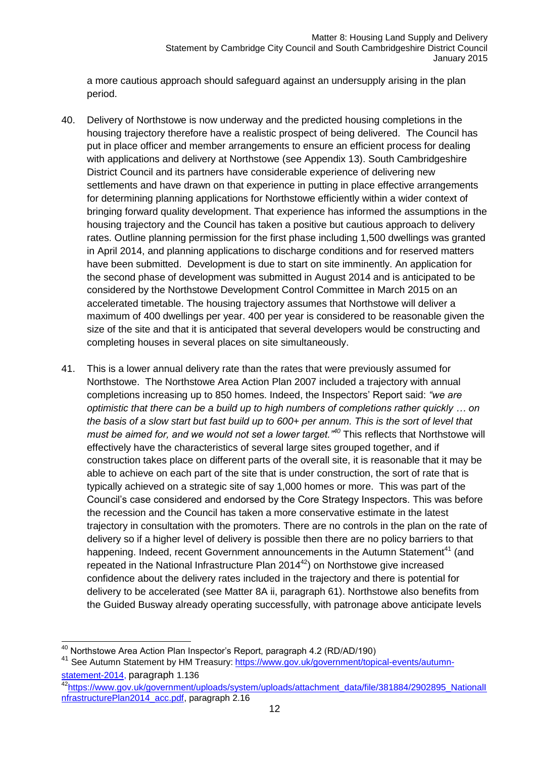a more cautious approach should safeguard against an undersupply arising in the plan period.

- 40. Delivery of Northstowe is now underway and the predicted housing completions in the housing trajectory therefore have a realistic prospect of being delivered. The Council has put in place officer and member arrangements to ensure an efficient process for dealing with applications and delivery at Northstowe (see Appendix 13). South Cambridgeshire District Council and its partners have considerable experience of delivering new settlements and have drawn on that experience in putting in place effective arrangements for determining planning applications for Northstowe efficiently within a wider context of bringing forward quality development. That experience has informed the assumptions in the housing trajectory and the Council has taken a positive but cautious approach to delivery rates. Outline planning permission for the first phase including 1,500 dwellings was granted in April 2014, and planning applications to discharge conditions and for reserved matters have been submitted. Development is due to start on site imminently. An application for the second phase of development was submitted in August 2014 and is anticipated to be considered by the Northstowe Development Control Committee in March 2015 on an accelerated timetable. The housing trajectory assumes that Northstowe will deliver a maximum of 400 dwellings per year. 400 per year is considered to be reasonable given the size of the site and that it is anticipated that several developers would be constructing and completing houses in several places on site simultaneously.
- 41. This is a lower annual delivery rate than the rates that were previously assumed for Northstowe. The Northstowe Area Action Plan 2007 included a trajectory with annual completions increasing up to 850 homes. Indeed, the Inspectors' Report said: *"we are optimistic that there can be a build up to high numbers of completions rather quickly … on the basis of a slow start but fast build up to 600+ per annum. This is the sort of level that must be aimed for, and we would not set a lower target."<sup>40</sup>* This reflects that Northstowe will effectively have the characteristics of several large sites grouped together, and if construction takes place on different parts of the overall site, it is reasonable that it may be able to achieve on each part of the site that is under construction, the sort of rate that is typically achieved on a strategic site of say 1,000 homes or more. This was part of the Council's case considered and endorsed by the Core Strategy Inspectors. This was before the recession and the Council has taken a more conservative estimate in the latest trajectory in consultation with the promoters. There are no controls in the plan on the rate of delivery so if a higher level of delivery is possible then there are no policy barriers to that happening. Indeed, recent Government announcements in the Autumn Statement<sup>41</sup> (and repeated in the National Infrastructure Plan 2014<sup>42</sup>) on Northstowe give increased confidence about the delivery rates included in the trajectory and there is potential for delivery to be accelerated (see Matter 8A ii, paragraph 61). Northstowe also benefits from the Guided Busway already operating successfully, with patronage above anticipate levels

<sup>-</sup><sup>40</sup> Northstowe Area Action Plan Inspector's Report, paragraph 4.2 (RD/AD/190)

<sup>41</sup> See Autumn Statement by HM Treasury: [https://www.gov.uk/government/topical-events/autumn](https://www.gov.uk/government/topical-events/autumn-statement-2014)[statement-2014,](https://www.gov.uk/government/topical-events/autumn-statement-2014) paragraph 1.136

<sup>42</sup>https://www.gov.uk/government/uploads/system/uploads/attachment\_data/file/381884/2902895\_Nationall [nfrastructurePlan2014\\_acc.pdf,](https://www.gov.uk/government/uploads/system/uploads/attachment_data/file/381884/2902895_NationalInfrastructurePlan2014_acc.pdf) paragraph 2.16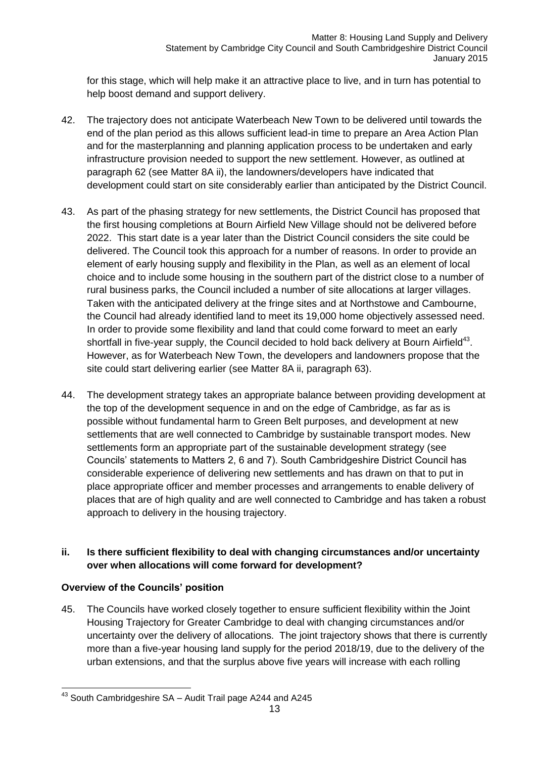for this stage, which will help make it an attractive place to live, and in turn has potential to help boost demand and support delivery.

- 42. The trajectory does not anticipate Waterbeach New Town to be delivered until towards the end of the plan period as this allows sufficient lead-in time to prepare an Area Action Plan and for the masterplanning and planning application process to be undertaken and early infrastructure provision needed to support the new settlement. However, as outlined at paragraph 62 (see Matter 8A ii), the landowners/developers have indicated that development could start on site considerably earlier than anticipated by the District Council.
- 43. As part of the phasing strategy for new settlements, the District Council has proposed that the first housing completions at Bourn Airfield New Village should not be delivered before 2022. This start date is a year later than the District Council considers the site could be delivered. The Council took this approach for a number of reasons. In order to provide an element of early housing supply and flexibility in the Plan, as well as an element of local choice and to include some housing in the southern part of the district close to a number of rural business parks, the Council included a number of site allocations at larger villages. Taken with the anticipated delivery at the fringe sites and at Northstowe and Cambourne, the Council had already identified land to meet its 19,000 home objectively assessed need. In order to provide some flexibility and land that could come forward to meet an early shortfall in five-year supply, the Council decided to hold back delivery at Bourn Airfield<sup>43</sup>. However, as for Waterbeach New Town, the developers and landowners propose that the site could start delivering earlier (see Matter 8A ii, paragraph 63).
- 44. The development strategy takes an appropriate balance between providing development at the top of the development sequence in and on the edge of Cambridge, as far as is possible without fundamental harm to Green Belt purposes, and development at new settlements that are well connected to Cambridge by sustainable transport modes. New settlements form an appropriate part of the sustainable development strategy (see Councils' statements to Matters 2, 6 and 7). South Cambridgeshire District Council has considerable experience of delivering new settlements and has drawn on that to put in place appropriate officer and member processes and arrangements to enable delivery of places that are of high quality and are well connected to Cambridge and has taken a robust approach to delivery in the housing trajectory.

#### **ii. Is there sufficient flexibility to deal with changing circumstances and/or uncertainty over when allocations will come forward for development?**

#### **Overview of the Councils' position**

45. The Councils have worked closely together to ensure sufficient flexibility within the Joint Housing Trajectory for Greater Cambridge to deal with changing circumstances and/or uncertainty over the delivery of allocations. The joint trajectory shows that there is currently more than a five-year housing land supply for the period 2018/19, due to the delivery of the urban extensions, and that the surplus above five years will increase with each rolling

<sup>-</sup> $43$  South Cambridgeshire SA – Audit Trail page A244 and A245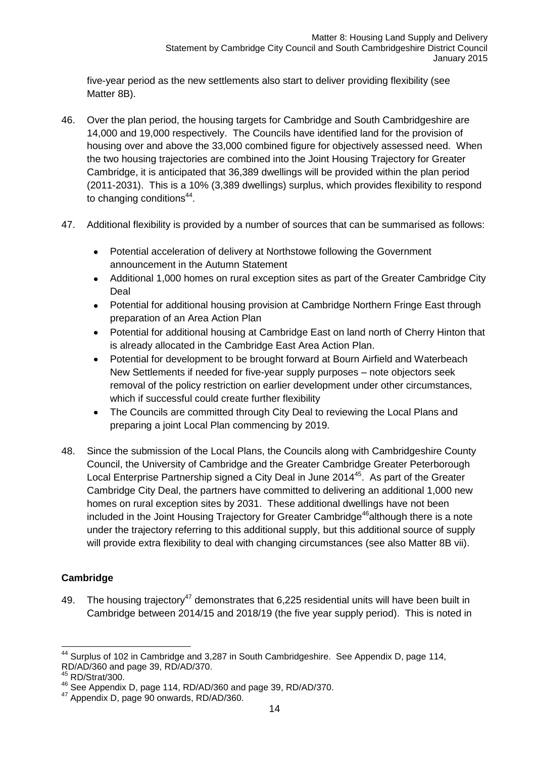five-year period as the new settlements also start to deliver providing flexibility (see Matter 8B).

- 46. Over the plan period, the housing targets for Cambridge and South Cambridgeshire are 14,000 and 19,000 respectively. The Councils have identified land for the provision of housing over and above the 33,000 combined figure for objectively assessed need. When the two housing trajectories are combined into the Joint Housing Trajectory for Greater Cambridge, it is anticipated that 36,389 dwellings will be provided within the plan period (2011-2031). This is a 10% (3,389 dwellings) surplus, which provides flexibility to respond to changing conditions<sup>44</sup>.
- 47. Additional flexibility is provided by a number of sources that can be summarised as follows:
	- Potential acceleration of delivery at Northstowe following the Government announcement in the Autumn Statement
	- Additional 1,000 homes on rural exception sites as part of the Greater Cambridge City Deal
	- Potential for additional housing provision at Cambridge Northern Fringe East through preparation of an Area Action Plan
	- Potential for additional housing at Cambridge East on land north of Cherry Hinton that is already allocated in the Cambridge East Area Action Plan.
	- Potential for development to be brought forward at Bourn Airfield and Waterbeach New Settlements if needed for five-year supply purposes – note objectors seek removal of the policy restriction on earlier development under other circumstances, which if successful could create further flexibility
	- The Councils are committed through City Deal to reviewing the Local Plans and preparing a joint Local Plan commencing by 2019.
- 48. Since the submission of the Local Plans, the Councils along with Cambridgeshire County Council, the University of Cambridge and the Greater Cambridge Greater Peterborough Local Enterprise Partnership signed a City Deal in June 2014<sup>45</sup>. As part of the Greater Cambridge City Deal, the partners have committed to delivering an additional 1,000 new homes on rural exception sites by 2031. These additional dwellings have not been included in the Joint Housing Trajectory for Greater Cambridge<sup>46</sup>although there is a note under the trajectory referring to this additional supply, but this additional source of supply will provide extra flexibility to deal with changing circumstances (see also Matter 8B vii).

### **Cambridge**

49. The housing trajectory<sup>47</sup> demonstrates that 6,225 residential units will have been built in Cambridge between 2014/15 and 2018/19 (the five year supply period). This is noted in

<sup>-</sup><sup>44</sup> Surplus of 102 in Cambridge and 3,287 in South Cambridgeshire. See Appendix D, page 114, RD/AD/360 and page 39, RD/AD/370.

<sup>45</sup> RD/Strat/300.

<sup>46</sup> See Appendix D, page 114, RD/AD/360 and page 39, RD/AD/370.

<sup>&</sup>lt;sup>47</sup> Appendix D, page 90 onwards, RD/AD/360.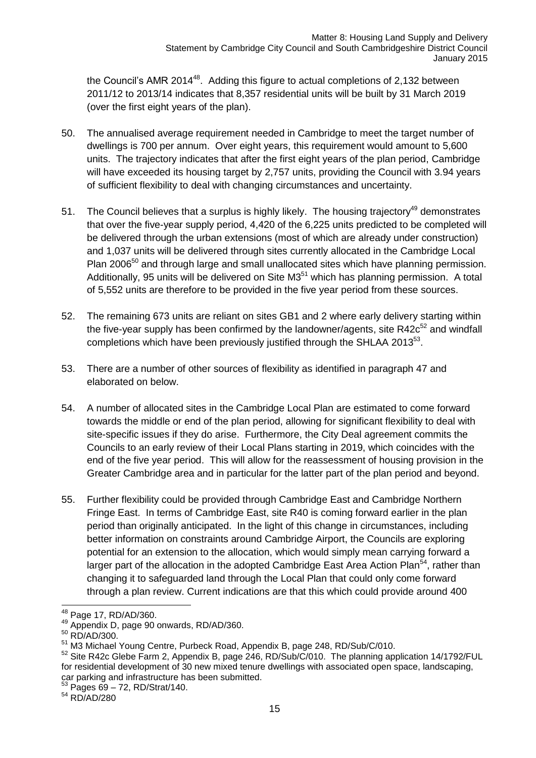the Council's AMR 2014<sup>48</sup>. Adding this figure to actual completions of 2,132 between 2011/12 to 2013/14 indicates that 8,357 residential units will be built by 31 March 2019 (over the first eight years of the plan).

- 50. The annualised average requirement needed in Cambridge to meet the target number of dwellings is 700 per annum. Over eight years, this requirement would amount to 5,600 units. The trajectory indicates that after the first eight years of the plan period, Cambridge will have exceeded its housing target by 2,757 units, providing the Council with 3.94 years of sufficient flexibility to deal with changing circumstances and uncertainty.
- 51. The Council believes that a surplus is highly likely. The housing trajectory<sup>49</sup> demonstrates that over the five-year supply period, 4,420 of the 6,225 units predicted to be completed will be delivered through the urban extensions (most of which are already under construction) and 1,037 units will be delivered through sites currently allocated in the Cambridge Local Plan 2006<sup>50</sup> and through large and small unallocated sites which have planning permission. Additionally, 95 units will be delivered on Site M3<sup>51</sup> which has planning permission. A total of 5,552 units are therefore to be provided in the five year period from these sources.
- 52. The remaining 673 units are reliant on sites GB1 and 2 where early delivery starting within the five-year supply has been confirmed by the landowner/agents, site  $R42c^{52}$  and windfall completions which have been previously justified through the SHLAA 2013 $53$ .
- 53. There are a number of other sources of flexibility as identified in paragraph 47 and elaborated on below.
- 54. A number of allocated sites in the Cambridge Local Plan are estimated to come forward towards the middle or end of the plan period, allowing for significant flexibility to deal with site-specific issues if they do arise. Furthermore, the City Deal agreement commits the Councils to an early review of their Local Plans starting in 2019, which coincides with the end of the five year period. This will allow for the reassessment of housing provision in the Greater Cambridge area and in particular for the latter part of the plan period and beyond.
- 55. Further flexibility could be provided through Cambridge East and Cambridge Northern Fringe East. In terms of Cambridge East, site R40 is coming forward earlier in the plan period than originally anticipated. In the light of this change in circumstances, including better information on constraints around Cambridge Airport, the Councils are exploring potential for an extension to the allocation, which would simply mean carrying forward a larger part of the allocation in the adopted Cambridge East Area Action Plan<sup>54</sup>, rather than changing it to safeguarded land through the Local Plan that could only come forward through a plan review. Current indications are that this which could provide around 400

-

 $53$  Pages  $69 - 72$ , RD/Strat/140.

<sup>54</sup> RD/AD/280

<sup>&</sup>lt;sup>48</sup> Page 17, RD/AD/360.

<sup>49</sup> Appendix D, page 90 onwards, RD/AD/360.

<sup>50</sup> RD/AD/300.

<sup>51</sup> M3 Michael Young Centre, Purbeck Road, Appendix B, page 248, RD/Sub/C/010.

<sup>&</sup>lt;sup>52</sup> Site R42c Glebe Farm 2, Appendix B, page 246, RD/Sub/C/010. The planning application 14/1792/FUL for residential development of 30 new mixed tenure dwellings with associated open space, landscaping, car parking and infrastructure has been submitted.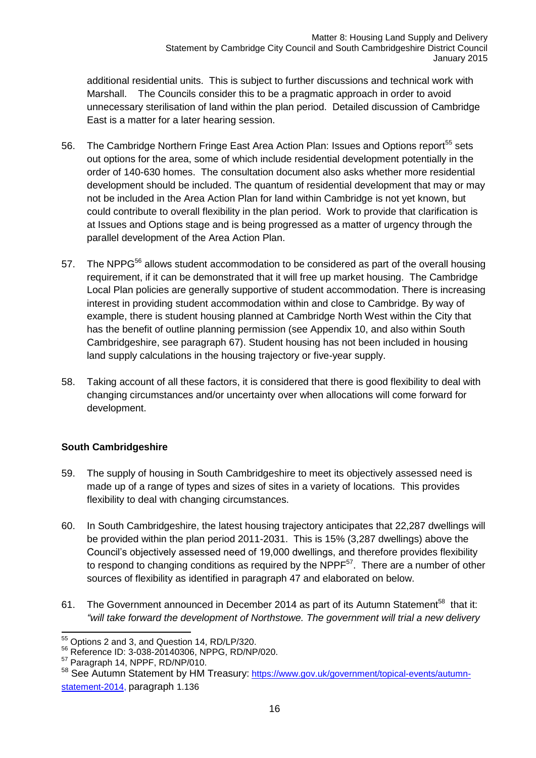additional residential units. This is subject to further discussions and technical work with Marshall. The Councils consider this to be a pragmatic approach in order to avoid unnecessary sterilisation of land within the plan period. Detailed discussion of Cambridge East is a matter for a later hearing session.

- 56. The Cambridge Northern Fringe East Area Action Plan: Issues and Options report<sup>55</sup> sets out options for the area, some of which include residential development potentially in the order of 140-630 homes. The consultation document also asks whether more residential development should be included. The quantum of residential development that may or may not be included in the Area Action Plan for land within Cambridge is not yet known, but could contribute to overall flexibility in the plan period. Work to provide that clarification is at Issues and Options stage and is being progressed as a matter of urgency through the parallel development of the Area Action Plan.
- 57. The NPPG<sup>56</sup> allows student accommodation to be considered as part of the overall housing requirement, if it can be demonstrated that it will free up market housing. The Cambridge Local Plan policies are generally supportive of student accommodation. There is increasing interest in providing student accommodation within and close to Cambridge. By way of example, there is student housing planned at Cambridge North West within the City that has the benefit of outline planning permission (see Appendix 10, and also within South Cambridgeshire, see paragraph 67). Student housing has not been included in housing land supply calculations in the housing trajectory or five-year supply.
- 58. Taking account of all these factors, it is considered that there is good flexibility to deal with changing circumstances and/or uncertainty over when allocations will come forward for development.

#### **South Cambridgeshire**

- 59. The supply of housing in South Cambridgeshire to meet its objectively assessed need is made up of a range of types and sizes of sites in a variety of locations. This provides flexibility to deal with changing circumstances.
- 60. In South Cambridgeshire, the latest housing trajectory anticipates that 22,287 dwellings will be provided within the plan period 2011-2031. This is 15% (3,287 dwellings) above the Council's objectively assessed need of 19,000 dwellings, and therefore provides flexibility to respond to changing conditions as required by the NPPF $57$ . There are a number of other sources of flexibility as identified in paragraph 47 and elaborated on below.
- 61. The Government announced in December 2014 as part of its Autumn Statement<sup>58</sup> that it: *"will take forward the development of Northstowe. The government will trial a new delivery*

<sup>-</sup><sup>55</sup> Options 2 and 3, and Question 14, RD/LP/320.

<sup>56</sup> Reference ID: 3-038-20140306, NPPG, RD/NP/020.

<sup>57</sup> Paragraph 14, NPPF, RD/NP/010.

<sup>58</sup> See Autumn Statement by HM Treasury: [https://www.gov.uk/government/topical-events/autumn](https://www.gov.uk/government/topical-events/autumn-statement-2014)[statement-2014,](https://www.gov.uk/government/topical-events/autumn-statement-2014) paragraph 1.136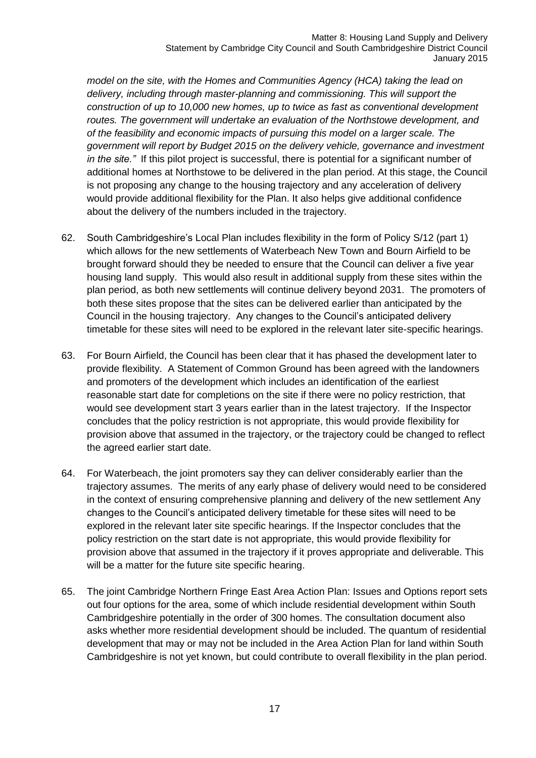*model on the site, with the Homes and Communities Agency (HCA) taking the lead on*  delivery, including through master-planning and commissioning. This will support the *construction of up to 10,000 new homes, up to twice as fast as conventional development*  routes. The government will undertake an evaluation of the Northstowe development, and *of the feasibility and economic impacts of pursuing this model on a larger scale. The government will report by Budget 2015 on the delivery vehicle, governance and investment in the site."* If this pilot project is successful, there is potential for a significant number of additional homes at Northstowe to be delivered in the plan period. At this stage, the Council is not proposing any change to the housing trajectory and any acceleration of delivery would provide additional flexibility for the Plan. It also helps give additional confidence about the delivery of the numbers included in the trajectory.

- 62. South Cambridgeshire's Local Plan includes flexibility in the form of Policy S/12 (part 1) which allows for the new settlements of Waterbeach New Town and Bourn Airfield to be brought forward should they be needed to ensure that the Council can deliver a five year housing land supply. This would also result in additional supply from these sites within the plan period, as both new settlements will continue delivery beyond 2031. The promoters of both these sites propose that the sites can be delivered earlier than anticipated by the Council in the housing trajectory. Any changes to the Council's anticipated delivery timetable for these sites will need to be explored in the relevant later site-specific hearings.
- 63. For Bourn Airfield, the Council has been clear that it has phased the development later to provide flexibility. A Statement of Common Ground has been agreed with the landowners and promoters of the development which includes an identification of the earliest reasonable start date for completions on the site if there were no policy restriction, that would see development start 3 years earlier than in the latest trajectory. If the Inspector concludes that the policy restriction is not appropriate, this would provide flexibility for provision above that assumed in the trajectory, or the trajectory could be changed to reflect the agreed earlier start date.
- 64. For Waterbeach, the joint promoters say they can deliver considerably earlier than the trajectory assumes. The merits of any early phase of delivery would need to be considered in the context of ensuring comprehensive planning and delivery of the new settlement Any changes to the Council's anticipated delivery timetable for these sites will need to be explored in the relevant later site specific hearings. If the Inspector concludes that the policy restriction on the start date is not appropriate, this would provide flexibility for provision above that assumed in the trajectory if it proves appropriate and deliverable. This will be a matter for the future site specific hearing.
- 65. The joint Cambridge Northern Fringe East Area Action Plan: Issues and Options report sets out four options for the area, some of which include residential development within South Cambridgeshire potentially in the order of 300 homes. The consultation document also asks whether more residential development should be included. The quantum of residential development that may or may not be included in the Area Action Plan for land within South Cambridgeshire is not yet known, but could contribute to overall flexibility in the plan period.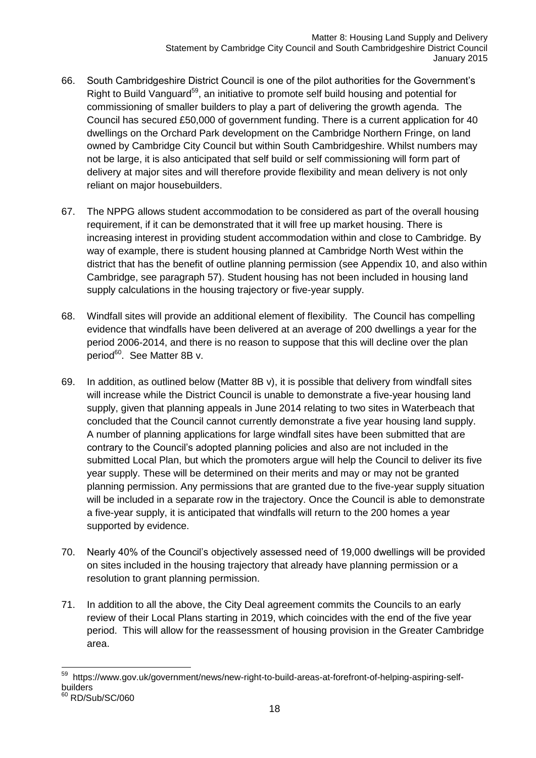- 66. South Cambridgeshire District Council is one of the pilot authorities for the Government's Right to Build Vanguard<sup>59</sup>, an initiative to promote self build housing and potential for commissioning of smaller builders to play a part of delivering the growth agenda. The Council has secured £50,000 of government funding. There is a current application for 40 dwellings on the Orchard Park development on the Cambridge Northern Fringe, on land owned by Cambridge City Council but within South Cambridgeshire. Whilst numbers may not be large, it is also anticipated that self build or self commissioning will form part of delivery at major sites and will therefore provide flexibility and mean delivery is not only reliant on major housebuilders.
- 67. The NPPG allows student accommodation to be considered as part of the overall housing requirement, if it can be demonstrated that it will free up market housing. There is increasing interest in providing student accommodation within and close to Cambridge. By way of example, there is student housing planned at Cambridge North West within the district that has the benefit of outline planning permission (see Appendix 10, and also within Cambridge, see paragraph 57). Student housing has not been included in housing land supply calculations in the housing trajectory or five-year supply.
- 68. Windfall sites will provide an additional element of flexibility. The Council has compelling evidence that windfalls have been delivered at an average of 200 dwellings a year for the period 2006-2014, and there is no reason to suppose that this will decline over the plan period<sup>60</sup>. See Matter 8B v.
- 69. In addition, as outlined below (Matter 8B v), it is possible that delivery from windfall sites will increase while the District Council is unable to demonstrate a five-year housing land supply, given that planning appeals in June 2014 relating to two sites in Waterbeach that concluded that the Council cannot currently demonstrate a five year housing land supply. A number of planning applications for large windfall sites have been submitted that are contrary to the Council's adopted planning policies and also are not included in the submitted Local Plan, but which the promoters argue will help the Council to deliver its five year supply. These will be determined on their merits and may or may not be granted planning permission. Any permissions that are granted due to the five-year supply situation will be included in a separate row in the trajectory. Once the Council is able to demonstrate a five-year supply, it is anticipated that windfalls will return to the 200 homes a year supported by evidence.
- 70. Nearly 40% of the Council's objectively assessed need of 19,000 dwellings will be provided on sites included in the housing trajectory that already have planning permission or a resolution to grant planning permission.
- 71. In addition to all the above, the City Deal agreement commits the Councils to an early review of their Local Plans starting in 2019, which coincides with the end of the five year period. This will allow for the reassessment of housing provision in the Greater Cambridge area.

<sup>-</sup><sup>59</sup> https://www.gov.uk/government/news/new-right-to-build-areas-at-forefront-of-helping-aspiring-selfbuilders

<sup>60</sup> RD/Sub/SC/060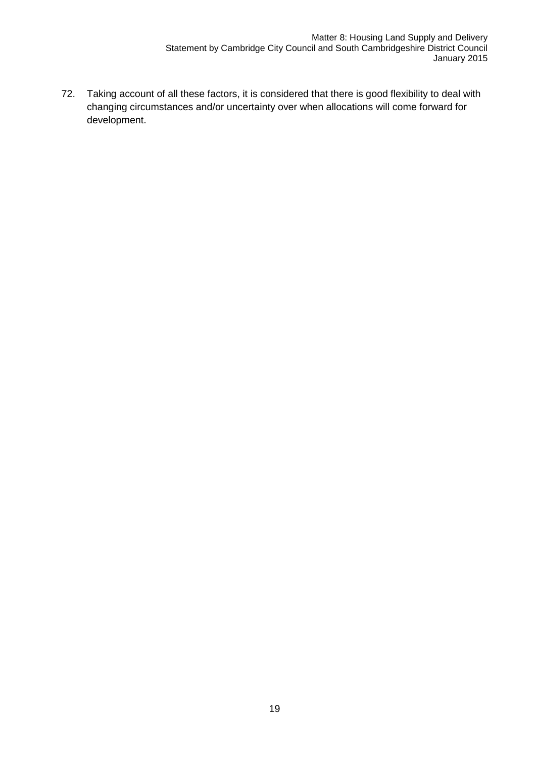72. Taking account of all these factors, it is considered that there is good flexibility to deal with changing circumstances and/or uncertainty over when allocations will come forward for development.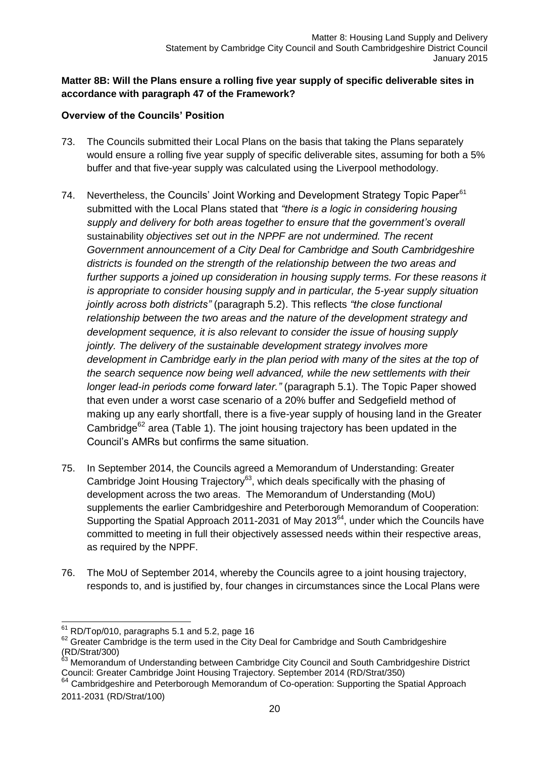#### **Matter 8B: Will the Plans ensure a rolling five year supply of specific deliverable sites in accordance with paragraph 47 of the Framework?**

#### **Overview of the Councils' Position**

- 73. The Councils submitted their Local Plans on the basis that taking the Plans separately would ensure a rolling five year supply of specific deliverable sites, assuming for both a 5% buffer and that five-year supply was calculated using the Liverpool methodology.
- 74. Nevertheless, the Councils' Joint Working and Development Strategy Topic Paper<sup>61</sup> submitted with the Local Plans stated that *"there is a logic in considering housing supply and delivery for both areas together to ensure that the government's overall*  sustainability *objectives set out in the NPPF are not undermined. The recent Government announcement of a City Deal for Cambridge and South Cambridgeshire districts is founded on the strength of the relationship between the two areas and further supports a joined up consideration in housing supply terms. For these reasons it is appropriate to consider housing supply and in particular, the 5-year supply situation jointly across both districts"* (paragraph 5.2). This reflects *"the close functional relationship between the two areas and the nature of the development strategy and development sequence, it is also relevant to consider the issue of housing supply jointly. The delivery of the sustainable development strategy involves more development in Cambridge early in the plan period with many of the sites at the top of the search sequence now being well advanced, while the new settlements with their longer lead-in periods come forward later."* (paragraph 5.1). The Topic Paper showed that even under a worst case scenario of a 20% buffer and Sedgefield method of making up any early shortfall, there is a five-year supply of housing land in the Greater Cambridge<sup>62</sup> area (Table 1). The joint housing trajectory has been updated in the Council's AMRs but confirms the same situation.
- 75. In September 2014, the Councils agreed a Memorandum of Understanding: Greater Cambridge Joint Housing Trajectory<sup>63</sup>, which deals specifically with the phasing of development across the two areas. The Memorandum of Understanding (MoU) supplements the earlier Cambridgeshire and Peterborough Memorandum of Cooperation: Supporting the Spatial Approach 2011-2031 of May  $2013<sup>64</sup>$ , under which the Councils have committed to meeting in full their objectively assessed needs within their respective areas, as required by the NPPF.
- 76. The MoU of September 2014, whereby the Councils agree to a joint housing trajectory, responds to, and is justified by, four changes in circumstances since the Local Plans were

<sup>-</sup> $61$  RD/Top/010, paragraphs 5.1 and 5.2, page 16

<sup>&</sup>lt;sup>62</sup> Greater Cambridge is the term used in the City Deal for Cambridge and South Cambridgeshire (RD/Strat/300)

<sup>&</sup>lt;sup>63</sup> Memorandum of Understanding between Cambridge City Council and South Cambridgeshire District Council: Greater Cambridge Joint Housing Trajectory. September 2014 (RD/Strat/350)

 $64$  Cambridgeshire and Peterborough Memorandum of Co-operation: Supporting the Spatial Approach 2011-2031 (RD/Strat/100)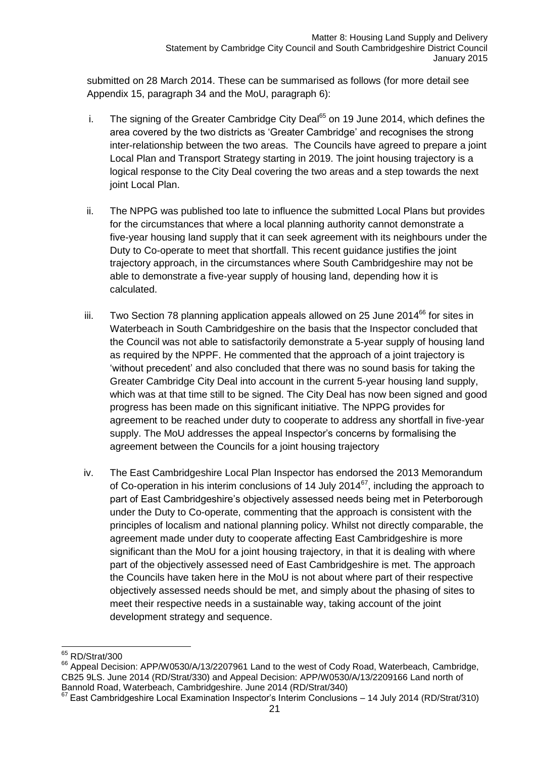submitted on 28 March 2014. These can be summarised as follows (for more detail see Appendix 15, paragraph 34 and the MoU, paragraph 6):

- i. The signing of the Greater Cambridge City Deal<sup> $65$ </sup> on 19 June 2014, which defines the area covered by the two districts as 'Greater Cambridge' and recognises the strong inter-relationship between the two areas. The Councils have agreed to prepare a joint Local Plan and Transport Strategy starting in 2019. The joint housing trajectory is a logical response to the City Deal covering the two areas and a step towards the next joint Local Plan.
- ii. The NPPG was published too late to influence the submitted Local Plans but provides for the circumstances that where a local planning authority cannot demonstrate a five-year housing land supply that it can seek agreement with its neighbours under the Duty to Co-operate to meet that shortfall. This recent guidance justifies the joint trajectory approach, in the circumstances where South Cambridgeshire may not be able to demonstrate a five-year supply of housing land, depending how it is calculated.
- iii. Two Section 78 planning application appeals allowed on 25 June 2014 $^{66}$  for sites in Waterbeach in South Cambridgeshire on the basis that the Inspector concluded that the Council was not able to satisfactorily demonstrate a 5-year supply of housing land as required by the NPPF. He commented that the approach of a joint trajectory is 'without precedent' and also concluded that there was no sound basis for taking the Greater Cambridge City Deal into account in the current 5-year housing land supply, which was at that time still to be signed. The City Deal has now been signed and good progress has been made on this significant initiative. The NPPG provides for agreement to be reached under duty to cooperate to address any shortfall in five-year supply. The MoU addresses the appeal Inspector's concerns by formalising the agreement between the Councils for a joint housing trajectory
- iv. The East Cambridgeshire Local Plan Inspector has endorsed the 2013 Memorandum of Co-operation in his interim conclusions of 14 July 2014 $^{67}$ , including the approach to part of East Cambridgeshire's objectively assessed needs being met in Peterborough under the Duty to Co-operate, commenting that the approach is consistent with the principles of localism and national planning policy. Whilst not directly comparable, the agreement made under duty to cooperate affecting East Cambridgeshire is more significant than the MoU for a joint housing trajectory, in that it is dealing with where part of the objectively assessed need of East Cambridgeshire is met. The approach the Councils have taken here in the MoU is not about where part of their respective objectively assessed needs should be met, and simply about the phasing of sites to meet their respective needs in a sustainable way, taking account of the joint development strategy and sequence.

<sup>-</sup> $65$  RD/Strat/300

<sup>&</sup>lt;sup>66</sup> Appeal Decision: APP/W0530/A/13/2207961 Land to the west of Cody Road, Waterbeach, Cambridge, CB25 9LS. June 2014 (RD/Strat/330) and Appeal Decision: APP/W0530/A/13/2209166 Land north of Bannold Road, Waterbeach, Cambridgeshire. June 2014 (RD/Strat/340)

<sup>67</sup> East Cambridgeshire Local Examination Inspector's Interim Conclusions – 14 July 2014 (RD/Strat/310)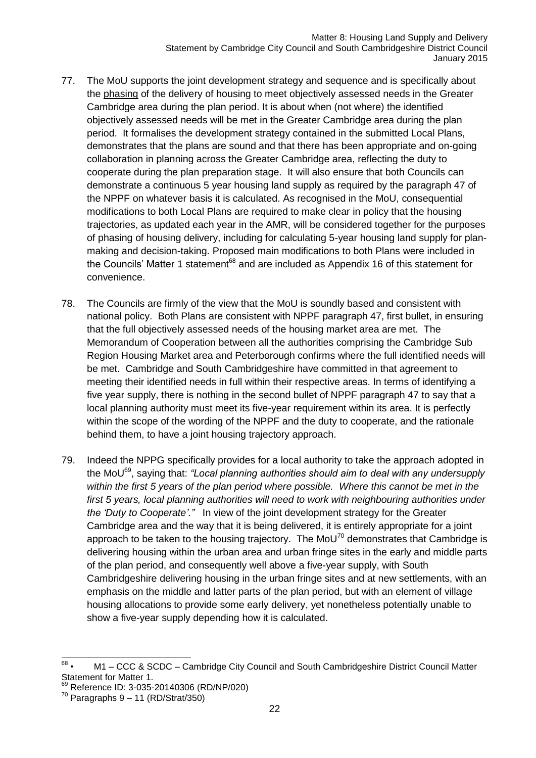- 77. The MoU supports the joint development strategy and sequence and is specifically about the phasing of the delivery of housing to meet objectively assessed needs in the Greater Cambridge area during the plan period. It is about when (not where) the identified objectively assessed needs will be met in the Greater Cambridge area during the plan period. It formalises the development strategy contained in the submitted Local Plans, demonstrates that the plans are sound and that there has been appropriate and on-going collaboration in planning across the Greater Cambridge area, reflecting the duty to cooperate during the plan preparation stage. It will also ensure that both Councils can demonstrate a continuous 5 year housing land supply as required by the paragraph 47 of the NPPF on whatever basis it is calculated. As recognised in the MoU, consequential modifications to both Local Plans are required to make clear in policy that the housing trajectories, as updated each year in the AMR, will be considered together for the purposes of phasing of housing delivery, including for calculating 5-year housing land supply for planmaking and decision-taking. Proposed main modifications to both Plans were included in the Councils' Matter 1 statement $68$  and are included as Appendix 16 of this statement for convenience.
- 78. The Councils are firmly of the view that the MoU is soundly based and consistent with national policy. Both Plans are consistent with NPPF paragraph 47, first bullet, in ensuring that the full objectively assessed needs of the housing market area are met. The Memorandum of Cooperation between all the authorities comprising the Cambridge Sub Region Housing Market area and Peterborough confirms where the full identified needs will be met. Cambridge and South Cambridgeshire have committed in that agreement to meeting their identified needs in full within their respective areas. In terms of identifying a five year supply, there is nothing in the second bullet of NPPF paragraph 47 to say that a local planning authority must meet its five-year requirement within its area. It is perfectly within the scope of the wording of the NPPF and the duty to cooperate, and the rationale behind them, to have a joint housing trajectory approach.
- 79. Indeed the NPPG specifically provides for a local authority to take the approach adopted in the MoU<sup>69</sup>, saying that: *"Local planning authorities should aim to deal with any undersupply within the first 5 years of the plan period where possible. Where this cannot be met in the*  first 5 years, local planning authorities will need to work with neighbouring authorities under *the ['Duty to Cooperate'](http://planningguidance.planningportal.gov.uk/blog/guidance/duty-to-cooperate/)."* In view of the joint development strategy for the Greater Cambridge area and the way that it is being delivered, it is entirely appropriate for a joint approach to be taken to the housing trajectory. The  $M_0U^{70}$  demonstrates that Cambridge is delivering housing within the urban area and urban fringe sites in the early and middle parts of the plan period, and consequently well above a five-year supply, with South Cambridgeshire delivering housing in the urban fringe sites and at new settlements, with an emphasis on the middle and latter parts of the plan period, but with an element of village housing allocations to provide some early delivery, yet nonetheless potentially unable to show a five-year supply depending how it is calculated.

<sup>—&</sup>lt;br>68 • M1 – CCC & SCDC – Cambridge City Council and South Cambridgeshire District Council Matter Statement for Matter 1.

<sup>69</sup> Reference ID: 3-035-20140306 (RD/NP/020)

 $70$  Paragraphs 9 – 11 (RD/Strat/350)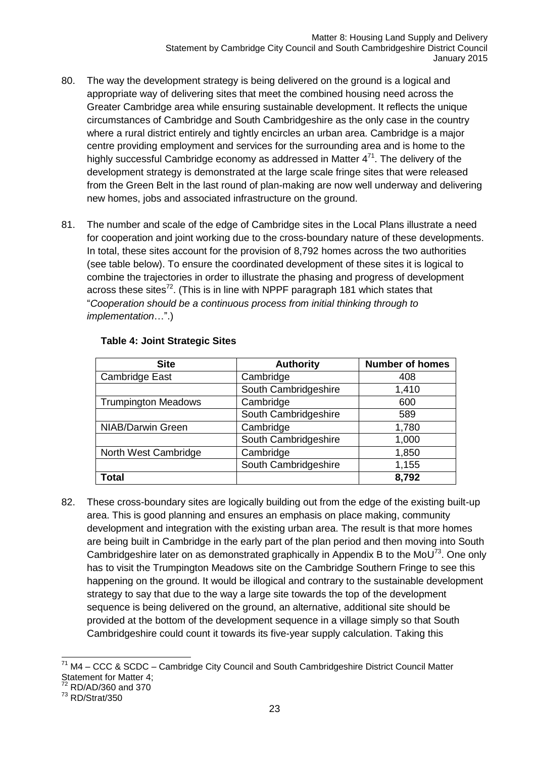- 80. The way the development strategy is being delivered on the ground is a logical and appropriate way of delivering sites that meet the combined housing need across the Greater Cambridge area while ensuring sustainable development. It reflects the unique circumstances of Cambridge and South Cambridgeshire as the only case in the country where a rural district entirely and tightly encircles an urban area. Cambridge is a major centre providing employment and services for the surrounding area and is home to the highly successful Cambridge economy as addressed in Matter  $4^{71}$ . The delivery of the development strategy is demonstrated at the large scale fringe sites that were released from the Green Belt in the last round of plan-making are now well underway and delivering new homes, jobs and associated infrastructure on the ground.
- 81. The number and scale of the edge of Cambridge sites in the Local Plans illustrate a need for cooperation and joint working due to the cross-boundary nature of these developments. In total, these sites account for the provision of 8,792 homes across the two authorities (see table below). To ensure the coordinated development of these sites it is logical to combine the trajectories in order to illustrate the phasing and progress of development across these sites<sup>72</sup>. (This is in line with NPPF paragraph 181 which states that "*Cooperation should be a continuous process from initial thinking through to implementation*…".)

| <b>Site</b>                | <b>Authority</b>     | <b>Number of homes</b> |
|----------------------------|----------------------|------------------------|
| Cambridge East             | Cambridge            | 408                    |
|                            | South Cambridgeshire | 1,410                  |
| <b>Trumpington Meadows</b> | Cambridge            | 600                    |
|                            | South Cambridgeshire | 589                    |
| NIAB/Darwin Green          | Cambridge            | 1,780                  |
|                            | South Cambridgeshire | 1,000                  |
| North West Cambridge       | Cambridge            | 1,850                  |
|                            | South Cambridgeshire | 1,155                  |
| Total                      |                      | 8,792                  |

#### **Table 4: Joint Strategic Sites**

82. These cross-boundary sites are logically building out from the edge of the existing built-up area. This is good planning and ensures an emphasis on place making, community development and integration with the existing urban area. The result is that more homes are being built in Cambridge in the early part of the plan period and then moving into South Cambridgeshire later on as demonstrated graphically in Appendix B to the MoU<sup>73</sup>. One only has to visit the Trumpington Meadows site on the Cambridge Southern Fringe to see this happening on the ground. It would be illogical and contrary to the sustainable development strategy to say that due to the way a large site towards the top of the development sequence is being delivered on the ground, an alternative, additional site should be provided at the bottom of the development sequence in a village simply so that South Cambridgeshire could count it towards its five-year supply calculation. Taking this

<sup>-</sup> $71$  M4 – CCC & SCDC – Cambridge City Council and South Cambridgeshire District Council Matter Statement for Matter 4;

<sup>72</sup> RD/AD/360 and 370

<sup>73</sup> RD/Strat/350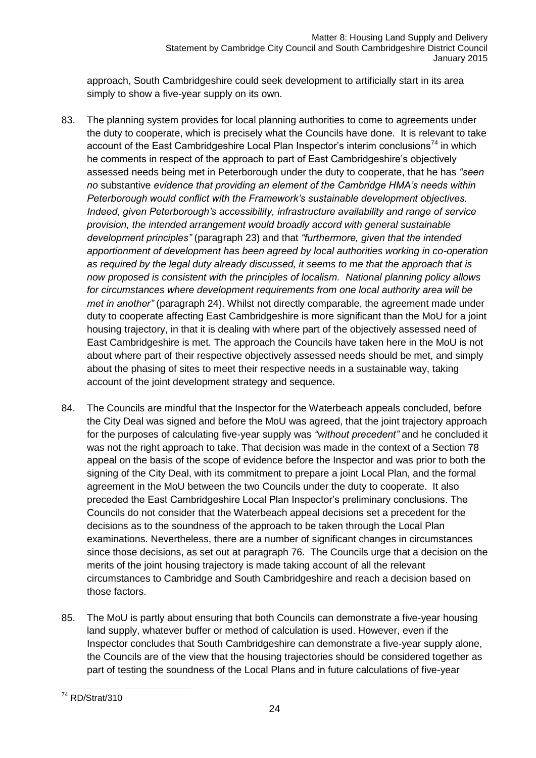approach, South Cambridgeshire could seek development to artificially start in its area simply to show a five-year supply on its own.

- 83. The planning system provides for local planning authorities to come to agreements under the duty to cooperate, which is precisely what the Councils have done. It is relevant to take account of the East Cambridgeshire Local Plan Inspector's interim conclusions<sup>74</sup> in which he comments in respect of the approach to part of East Cambridgeshire's objectively assessed needs being met in Peterborough under the duty to cooperate, that he has *"seen no* substantive *evidence that providing an element of the Cambridge HMA's needs within Peterborough would conflict with the Framework's sustainable development objectives. Indeed, given Peterborough's accessibility, infrastructure availability and range of service provision, the intended arrangement would broadly accord with general sustainable development principles"* (paragraph 23) and that *"furthermore, given that the intended apportionment of development has been agreed by local authorities working in co-operation as required by the legal duty already discussed, it seems to me that the approach that is now proposed is consistent with the principles of localism. National planning policy allows for circumstances where development requirements from one local authority area will be met in another"* (paragraph 24). Whilst not directly comparable, the agreement made under duty to cooperate affecting East Cambridgeshire is more significant than the MoU for a joint housing trajectory, in that it is dealing with where part of the objectively assessed need of East Cambridgeshire is met. The approach the Councils have taken here in the MoU is not about where part of their respective objectively assessed needs should be met, and simply about the phasing of sites to meet their respective needs in a sustainable way, taking account of the joint development strategy and sequence.
- 84. The Councils are mindful that the Inspector for the Waterbeach appeals concluded, before the City Deal was signed and before the MoU was agreed, that the joint trajectory approach for the purposes of calculating five-year supply was *"without precedent"* and he concluded it was not the right approach to take. That decision was made in the context of a Section 78 appeal on the basis of the scope of evidence before the Inspector and was prior to both the signing of the City Deal, with its commitment to prepare a joint Local Plan, and the formal agreement in the MoU between the two Councils under the duty to cooperate. It also preceded the East Cambridgeshire Local Plan Inspector's preliminary conclusions. The Councils do not consider that the Waterbeach appeal decisions set a precedent for the decisions as to the soundness of the approach to be taken through the Local Plan examinations. Nevertheless, there are a number of significant changes in circumstances since those decisions, as set out at paragraph 76. The Councils urge that a decision on the merits of the joint housing trajectory is made taking account of all the relevant circumstances to Cambridge and South Cambridgeshire and reach a decision based on those factors.
- 85. The MoU is partly about ensuring that both Councils can demonstrate a five-year housing land supply, whatever buffer or method of calculation is used. However, even if the Inspector concludes that South Cambridgeshire can demonstrate a five-year supply alone, the Councils are of the view that the housing trajectories should be considered together as part of testing the soundness of the Local Plans and in future calculations of five-year

<sup>-</sup><sup>74</sup> RD/Strat/310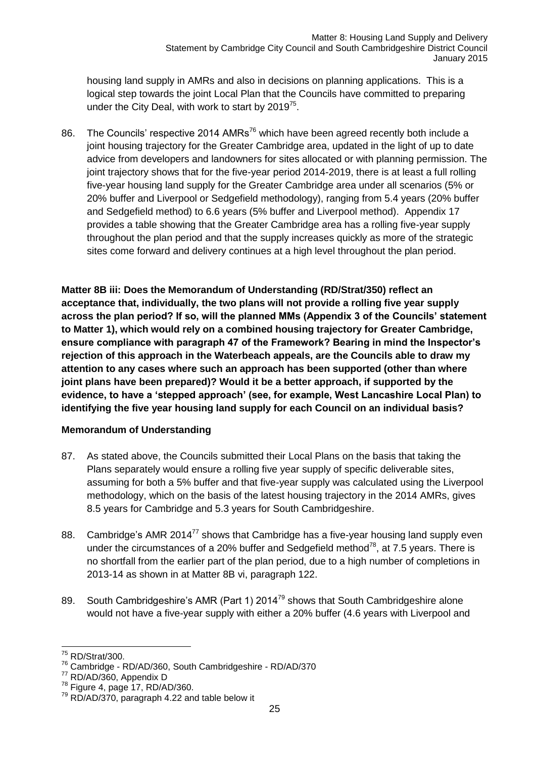housing land supply in AMRs and also in decisions on planning applications. This is a logical step towards the joint Local Plan that the Councils have committed to preparing under the City Deal, with work to start by 2019 $75$ .

86. The Councils' respective 2014 AMRs<sup>76</sup> which have been agreed recently both include a joint housing trajectory for the Greater Cambridge area, updated in the light of up to date advice from developers and landowners for sites allocated or with planning permission. The joint trajectory shows that for the five-year period 2014-2019, there is at least a full rolling five-year housing land supply for the Greater Cambridge area under all scenarios (5% or 20% buffer and Liverpool or Sedgefield methodology), ranging from 5.4 years (20% buffer and Sedgefield method) to 6.6 years (5% buffer and Liverpool method). Appendix 17 provides a table showing that the Greater Cambridge area has a rolling five-year supply throughout the plan period and that the supply increases quickly as more of the strategic sites come forward and delivery continues at a high level throughout the plan period.

**Matter 8B iii: Does the Memorandum of Understanding (RD/Strat/350) reflect an acceptance that, individually, the two plans will not provide a rolling five year supply across the plan period? If so, will the planned MMs (Appendix 3 of the Councils' statement to Matter 1), which would rely on a combined housing trajectory for Greater Cambridge, ensure compliance with paragraph 47 of the Framework? Bearing in mind the Inspector's rejection of this approach in the Waterbeach appeals, are the Councils able to draw my attention to any cases where such an approach has been supported (other than where joint plans have been prepared)? Would it be a better approach, if supported by the evidence, to have a 'stepped approach' (see, for example, West Lancashire Local Plan) to identifying the five year housing land supply for each Council on an individual basis?**

#### **Memorandum of Understanding**

- 87. As stated above, the Councils submitted their Local Plans on the basis that taking the Plans separately would ensure a rolling five year supply of specific deliverable sites, assuming for both a 5% buffer and that five-year supply was calculated using the Liverpool methodology, which on the basis of the latest housing trajectory in the 2014 AMRs, gives 8.5 years for Cambridge and 5.3 years for South Cambridgeshire.
- 88. Cambridge's AMR 2014<sup>77</sup> shows that Cambridge has a five-year housing land supply even under the circumstances of a 20% buffer and Sedgefield method<sup>78</sup>, at 7.5 years. There is no shortfall from the earlier part of the plan period, due to a high number of completions in 2013-14 as shown in at Matter 8B vi, paragraph 122.
- 89. South Cambridgeshire's AMR (Part 1) 2014<sup>79</sup> shows that South Cambridgeshire alone would not have a five-year supply with either a 20% buffer (4.6 years with Liverpool and

<sup>77</sup> RD/AD/360, Appendix D

<sup>-</sup> $75$  RD/Strat/300.

<sup>76</sup> Cambridge - RD/AD/360, South Cambridgeshire - RD/AD/370

 $78$  Figure 4, page 17, RD/AD/360.

 $79$  RD/AD/370, paragraph 4.22 and table below it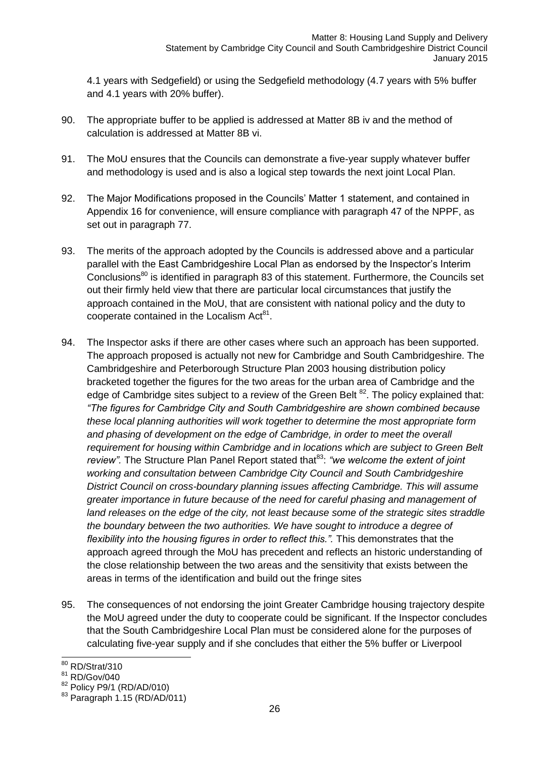4.1 years with Sedgefield) or using the Sedgefield methodology (4.7 years with 5% buffer and 4.1 years with 20% buffer).

- 90. The appropriate buffer to be applied is addressed at Matter 8B iv and the method of calculation is addressed at Matter 8B vi.
- 91. The MoU ensures that the Councils can demonstrate a five-year supply whatever buffer and methodology is used and is also a logical step towards the next joint Local Plan.
- 92. The Major Modifications proposed in the Councils' Matter 1 statement, and contained in Appendix 16 for convenience, will ensure compliance with paragraph 47 of the NPPF, as set out in paragraph 77.
- 93. The merits of the approach adopted by the Councils is addressed above and a particular parallel with the East Cambridgeshire Local Plan as endorsed by the Inspector's Interim Conclusions<sup>80</sup> is identified in paragraph 83 of this statement. Furthermore, the Councils set out their firmly held view that there are particular local circumstances that justify the approach contained in the MoU, that are consistent with national policy and the duty to cooperate contained in the Localism Act<sup>81</sup>.
- 94. The Inspector asks if there are other cases where such an approach has been supported. The approach proposed is actually not new for Cambridge and South Cambridgeshire. The Cambridgeshire and Peterborough Structure Plan 2003 housing distribution policy bracketed together the figures for the two areas for the urban area of Cambridge and the edge of Cambridge sites subject to a review of the Green Belt  $^{82}$ . The policy explained that: *"The figures for Cambridge City and South Cambridgeshire are shown combined because these local planning authorities will work together to determine the most appropriate form*  and phasing of development on the edge of Cambridge, in order to meet the overall *requirement for housing within Cambridge and in locations which are subject to Green Belt review"*. The Structure Plan Panel Report stated that<sup>83</sup>: "we welcome the extent of joint *working and consultation between Cambridge City Council and South Cambridgeshire District Council on cross-boundary planning issues affecting Cambridge. This will assume greater importance in future because of the need for careful phasing and management of land releases on the edge of the city, not least because some of the strategic sites straddle the boundary between the two authorities. We have sought to introduce a degree of flexibility into the housing figures in order to reflect this.".* This demonstrates that the approach agreed through the MoU has precedent and reflects an historic understanding of the close relationship between the two areas and the sensitivity that exists between the areas in terms of the identification and build out the fringe sites
- 95. The consequences of not endorsing the joint Greater Cambridge housing trajectory despite the MoU agreed under the duty to cooperate could be significant. If the Inspector concludes that the South Cambridgeshire Local Plan must be considered alone for the purposes of calculating five-year supply and if she concludes that either the 5% buffer or Liverpool

 $\overline{a}$ 

<sup>&</sup>lt;sup>80</sup> RD/Strat/310

<sup>81</sup> RD/Gov/040

<sup>82</sup> Policy P9/1 (RD/AD/010)

<sup>83</sup> Paragraph 1.15 (RD/AD/011)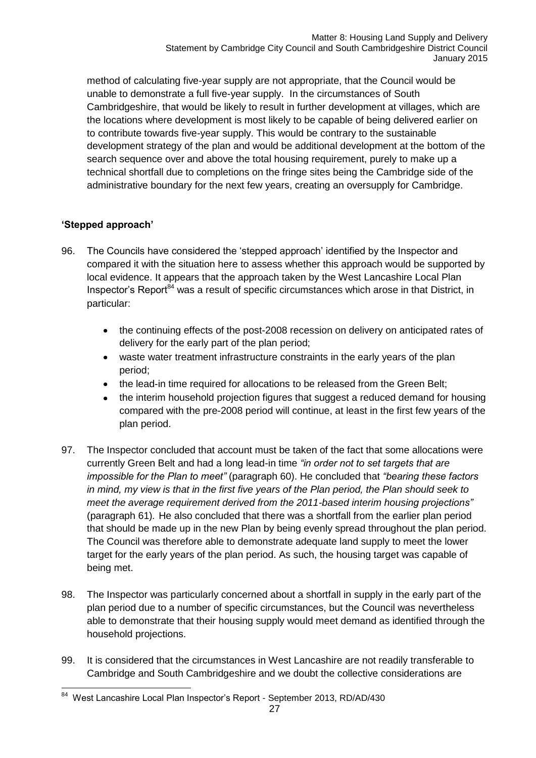method of calculating five-year supply are not appropriate, that the Council would be unable to demonstrate a full five-year supply. In the circumstances of South Cambridgeshire, that would be likely to result in further development at villages, which are the locations where development is most likely to be capable of being delivered earlier on to contribute towards five-year supply. This would be contrary to the sustainable development strategy of the plan and would be additional development at the bottom of the search sequence over and above the total housing requirement, purely to make up a technical shortfall due to completions on the fringe sites being the Cambridge side of the administrative boundary for the next few years, creating an oversupply for Cambridge.

#### **'Stepped approach'**

- 96. The Councils have considered the 'stepped approach' identified by the Inspector and compared it with the situation here to assess whether this approach would be supported by local evidence. It appears that the approach taken by the West Lancashire Local Plan Inspector's Report $^{84}$  was a result of specific circumstances which arose in that District, in particular:
	- the continuing effects of the post-2008 recession on delivery on anticipated rates of  $\bullet$ delivery for the early part of the plan period;
	- waste water treatment infrastructure constraints in the early years of the plan  $\bullet$ period;
	- the lead-in time required for allocations to be released from the Green Belt;
	- the interim household projection figures that suggest a reduced demand for housing compared with the pre-2008 period will continue, at least in the first few years of the plan period.
- 97. The Inspector concluded that account must be taken of the fact that some allocations were currently Green Belt and had a long lead-in time *"in order not to set targets that are impossible for the Plan to meet"* (paragraph 60). He concluded that *"bearing these factors in mind, my view is that in the first five years of the Plan period, the Plan should seek to meet the average requirement derived from the 2011-based interim housing projections"*  (paragraph 61)*.* He also concluded that there was a shortfall from the earlier plan period that should be made up in the new Plan by being evenly spread throughout the plan period. The Council was therefore able to demonstrate adequate land supply to meet the lower target for the early years of the plan period. As such, the housing target was capable of being met.
- 98. The Inspector was particularly concerned about a shortfall in supply in the early part of the plan period due to a number of specific circumstances, but the Council was nevertheless able to demonstrate that their housing supply would meet demand as identified through the household projections.
- 99. It is considered that the circumstances in West Lancashire are not readily transferable to Cambridge and South Cambridgeshire and we doubt the collective considerations are

<sup>-</sup><sup>84</sup> West Lancashire Local Plan Inspector's Report - September 2013, RD/AD/430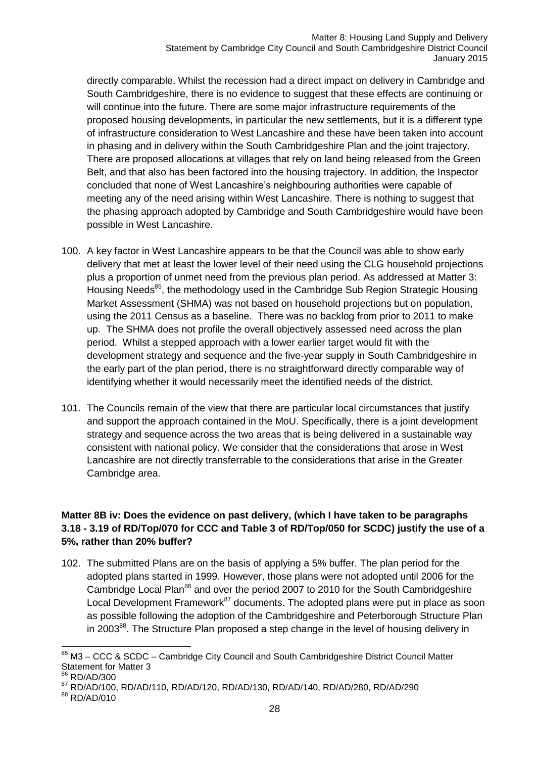directly comparable. Whilst the recession had a direct impact on delivery in Cambridge and South Cambridgeshire, there is no evidence to suggest that these effects are continuing or will continue into the future. There are some major infrastructure requirements of the proposed housing developments, in particular the new settlements, but it is a different type of infrastructure consideration to West Lancashire and these have been taken into account in phasing and in delivery within the South Cambridgeshire Plan and the joint trajectory. There are proposed allocations at villages that rely on land being released from the Green Belt, and that also has been factored into the housing trajectory. In addition, the Inspector concluded that none of West Lancashire's neighbouring authorities were capable of meeting any of the need arising within West Lancashire. There is nothing to suggest that the phasing approach adopted by Cambridge and South Cambridgeshire would have been possible in West Lancashire.

- 100. A key factor in West Lancashire appears to be that the Council was able to show early delivery that met at least the lower level of their need using the CLG household projections plus a proportion of unmet need from the previous plan period. As addressed at Matter 3: Housing Needs<sup>85</sup>, the methodology used in the Cambridge Sub Region Strategic Housing Market Assessment (SHMA) was not based on household projections but on population, using the 2011 Census as a baseline. There was no backlog from prior to 2011 to make up. The SHMA does not profile the overall objectively assessed need across the plan period. Whilst a stepped approach with a lower earlier target would fit with the development strategy and sequence and the five-year supply in South Cambridgeshire in the early part of the plan period, there is no straightforward directly comparable way of identifying whether it would necessarily meet the identified needs of the district.
- 101. The Councils remain of the view that there are particular local circumstances that justify and support the approach contained in the MoU. Specifically, there is a joint development strategy and sequence across the two areas that is being delivered in a sustainable way consistent with national policy. We consider that the considerations that arose in West Lancashire are not directly transferrable to the considerations that arise in the Greater Cambridge area.

#### **Matter 8B iv: Does the evidence on past delivery, (which I have taken to be paragraphs 3.18 - 3.19 of RD/Top/070 for CCC and Table 3 of RD/Top/050 for SCDC) justify the use of a 5%, rather than 20% buffer?**

102. The submitted Plans are on the basis of applying a 5% buffer. The plan period for the adopted plans started in 1999. However, those plans were not adopted until 2006 for the Cambridge Local Plan<sup>86</sup> and over the period 2007 to 2010 for the South Cambridgeshire Local Development Framework $87$  documents. The adopted plans were put in place as soon as possible following the adoption of the Cambridgeshire and Peterborough Structure Plan in 2003<sup>88</sup>. The Structure Plan proposed a step change in the level of housing delivery in

<sup>-</sup><sup>85</sup> M3 – CCC & SCDC – Cambridge City Council and South Cambridgeshire District Council Matter Statement for Matter 3

<sup>86</sup> RD/AD/300

<sup>87</sup> RD/AD/100, RD/AD/110, RD/AD/120, RD/AD/130, RD/AD/140, RD/AD/280, RD/AD/290

<sup>88</sup> RD/AD/010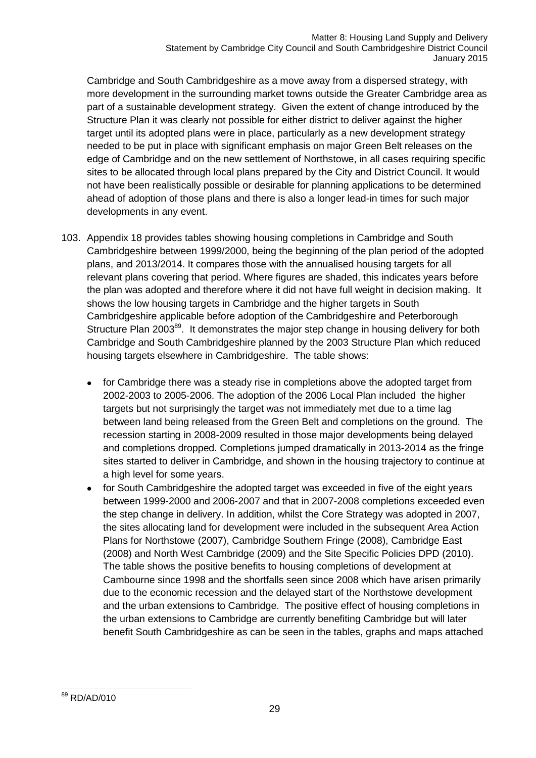Cambridge and South Cambridgeshire as a move away from a dispersed strategy, with more development in the surrounding market towns outside the Greater Cambridge area as part of a sustainable development strategy. Given the extent of change introduced by the Structure Plan it was clearly not possible for either district to deliver against the higher target until its adopted plans were in place, particularly as a new development strategy needed to be put in place with significant emphasis on major Green Belt releases on the edge of Cambridge and on the new settlement of Northstowe, in all cases requiring specific sites to be allocated through local plans prepared by the City and District Council. It would not have been realistically possible or desirable for planning applications to be determined ahead of adoption of those plans and there is also a longer lead-in times for such major developments in any event.

- 103. Appendix 18 provides tables showing housing completions in Cambridge and South Cambridgeshire between 1999/2000, being the beginning of the plan period of the adopted plans, and 2013/2014. It compares those with the annualised housing targets for all relevant plans covering that period. Where figures are shaded, this indicates years before the plan was adopted and therefore where it did not have full weight in decision making. It shows the low housing targets in Cambridge and the higher targets in South Cambridgeshire applicable before adoption of the Cambridgeshire and Peterborough Structure Plan 2003<sup>89</sup>. It demonstrates the major step change in housing delivery for both Cambridge and South Cambridgeshire planned by the 2003 Structure Plan which reduced housing targets elsewhere in Cambridgeshire. The table shows:
	- for Cambridge there was a steady rise in completions above the adopted target from 2002-2003 to 2005-2006. The adoption of the 2006 Local Plan included the higher targets but not surprisingly the target was not immediately met due to a time lag between land being released from the Green Belt and completions on the ground. The recession starting in 2008-2009 resulted in those major developments being delayed and completions dropped. Completions jumped dramatically in 2013-2014 as the fringe sites started to deliver in Cambridge, and shown in the housing trajectory to continue at a high level for some years.
	- for South Cambridgeshire the adopted target was exceeded in five of the eight years between 1999-2000 and 2006-2007 and that in 2007-2008 completions exceeded even the step change in delivery. In addition, whilst the Core Strategy was adopted in 2007, the sites allocating land for development were included in the subsequent Area Action Plans for Northstowe (2007), Cambridge Southern Fringe (2008), Cambridge East (2008) and North West Cambridge (2009) and the Site Specific Policies DPD (2010). The table shows the positive benefits to housing completions of development at Cambourne since 1998 and the shortfalls seen since 2008 which have arisen primarily due to the economic recession and the delayed start of the Northstowe development and the urban extensions to Cambridge. The positive effect of housing completions in the urban extensions to Cambridge are currently benefiting Cambridge but will later benefit South Cambridgeshire as can be seen in the tables, graphs and maps attached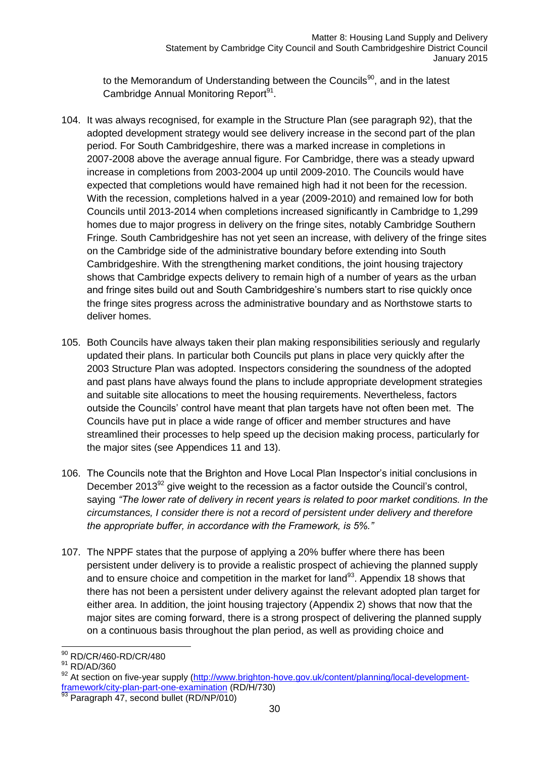to the Memorandum of Understanding between the Councils<sup>90</sup>, and in the latest Cambridge Annual Monitoring Report<sup>91</sup>.

- 104. It was always recognised, for example in the Structure Plan (see paragraph 92), that the adopted development strategy would see delivery increase in the second part of the plan period. For South Cambridgeshire, there was a marked increase in completions in 2007-2008 above the average annual figure. For Cambridge, there was a steady upward increase in completions from 2003-2004 up until 2009-2010. The Councils would have expected that completions would have remained high had it not been for the recession. With the recession, completions halved in a year (2009-2010) and remained low for both Councils until 2013-2014 when completions increased significantly in Cambridge to 1,299 homes due to major progress in delivery on the fringe sites, notably Cambridge Southern Fringe. South Cambridgeshire has not yet seen an increase, with delivery of the fringe sites on the Cambridge side of the administrative boundary before extending into South Cambridgeshire. With the strengthening market conditions, the joint housing trajectory shows that Cambridge expects delivery to remain high of a number of years as the urban and fringe sites build out and South Cambridgeshire's numbers start to rise quickly once the fringe sites progress across the administrative boundary and as Northstowe starts to deliver homes.
- 105. Both Councils have always taken their plan making responsibilities seriously and regularly updated their plans. In particular both Councils put plans in place very quickly after the 2003 Structure Plan was adopted. Inspectors considering the soundness of the adopted and past plans have always found the plans to include appropriate development strategies and suitable site allocations to meet the housing requirements. Nevertheless, factors outside the Councils' control have meant that plan targets have not often been met. The Councils have put in place a wide range of officer and member structures and have streamlined their processes to help speed up the decision making process, particularly for the major sites (see Appendices 11 and 13).
- 106. The Councils note that the Brighton and Hove Local Plan Inspector's initial conclusions in December 2013 $92$  give weight to the recession as a factor outside the Council's control, saying *"The lower rate of delivery in recent years is related to poor market conditions. In the circumstances, I consider there is not a record of persistent under delivery and therefore the appropriate buffer, in accordance with the Framework, is 5%."*
- 107. The NPPF states that the purpose of applying a 20% buffer where there has been persistent under delivery is to provide a realistic prospect of achieving the planned supply and to ensure choice and competition in the market for land $93$ . Appendix 18 shows that there has not been a persistent under delivery against the relevant adopted plan target for either area. In addition, the joint housing trajectory (Appendix 2) shows that now that the major sites are coming forward, there is a strong prospect of delivering the planned supply on a continuous basis throughout the plan period, as well as providing choice and

<sup>-</sup><sup>90</sup> RD/CR/460-RD/CR/480

<sup>&</sup>lt;sup>91</sup> RD/AD/360

<sup>92</sup> At section on five-year supply [\(http://www.brighton-hove.gov.uk/content/planning/local-development](http://www.brighton-hove.gov.uk/content/planning/local-development-framework/city-plan-part-one-examination)[framework/city-plan-part-one-examination](http://www.brighton-hove.gov.uk/content/planning/local-development-framework/city-plan-part-one-examination) (RD/H/730)

<sup>93</sup> Paragraph 47, second bullet (RD/NP/010)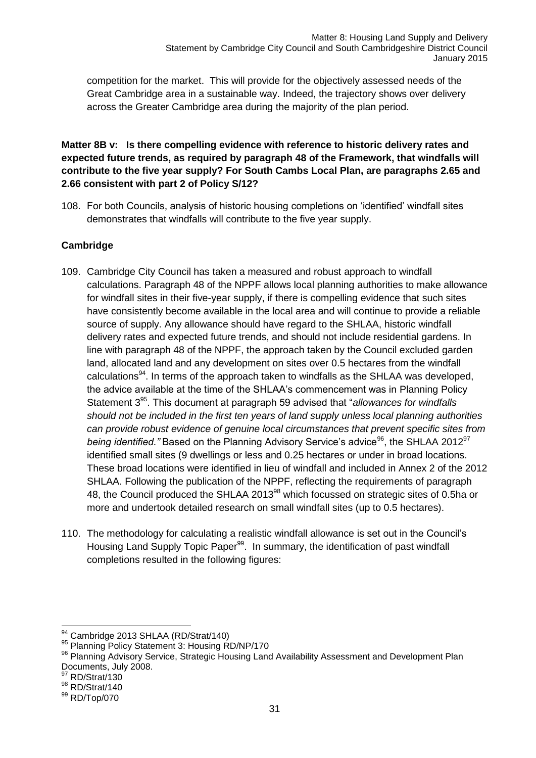competition for the market. This will provide for the objectively assessed needs of the Great Cambridge area in a sustainable way. Indeed, the trajectory shows over delivery across the Greater Cambridge area during the majority of the plan period.

#### **Matter 8B v: Is there compelling evidence with reference to historic delivery rates and expected future trends, as required by paragraph 48 of the Framework, that windfalls will contribute to the five year supply? For South Cambs Local Plan, are paragraphs 2.65 and 2.66 consistent with part 2 of Policy S/12?**

108. For both Councils, analysis of historic housing completions on 'identified' windfall sites demonstrates that windfalls will contribute to the five year supply.

### **Cambridge**

- 109. Cambridge City Council has taken a measured and robust approach to windfall calculations. Paragraph 48 of the NPPF allows local planning authorities to make allowance for windfall sites in their five-year supply, if there is compelling evidence that such sites have consistently become available in the local area and will continue to provide a reliable source of supply. Any allowance should have regard to the SHLAA, historic windfall delivery rates and expected future trends, and should not include residential gardens. In line with paragraph 48 of the NPPF, the approach taken by the Council excluded garden land, allocated land and any development on sites over 0.5 hectares from the windfall calculations<sup>94</sup>. In terms of the approach taken to windfalls as the SHLAA was developed, the advice available at the time of the SHLAA's commencement was in Planning Policy Statement 3<sup>95</sup>. This document at paragraph 59 advised that "allowances for windfalls *should not be included in the first ten years of land supply unless local planning authorities can provide robust evidence of genuine local circumstances that prevent specific sites from being identified."* Based on the Planning Advisory Service's advice<sup>96</sup>, the SHLAA 2012<sup>97</sup> identified small sites (9 dwellings or less and 0.25 hectares or under in broad locations. These broad locations were identified in lieu of windfall and included in Annex 2 of the 2012 SHLAA. Following the publication of the NPPF, reflecting the requirements of paragraph 48, the Council produced the SHLAA 2013<sup>98</sup> which focussed on strategic sites of 0.5ha or more and undertook detailed research on small windfall sites (up to 0.5 hectares).
- 110. The methodology for calculating a realistic windfall allowance is set out in the Council's Housing Land Supply Topic Paper<sup>99</sup>. In summary, the identification of past windfall completions resulted in the following figures:

 $\overline{a}$ 

<sup>&</sup>lt;sup>94</sup> Cambridge 2013 SHLAA (RD/Strat/140)

<sup>95</sup> Planning Policy Statement 3: Housing RD/NP/170

<sup>96</sup> Planning Advisory Service, Strategic Housing Land Availability Assessment and Development Plan Documents, July 2008.

RD/Strat/130

<sup>98</sup> RD/Strat/140

<sup>99</sup> RD/Top/070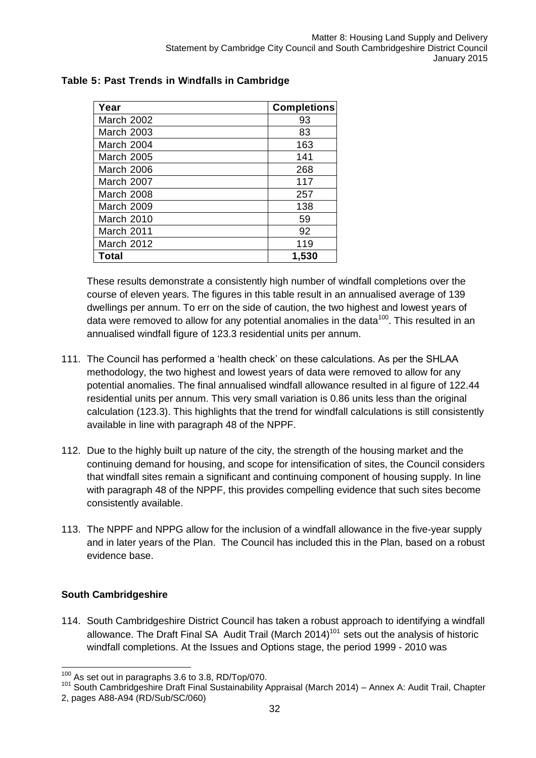| Year              | <b>Completions</b> |
|-------------------|--------------------|
| March 2002        | 93                 |
| <b>March 2003</b> | 83                 |
| March 2004        | 163                |
| <b>March 2005</b> | 141                |
| March 2006        | 268                |
| March 2007        | 117                |
| March 2008        | 257                |
| March 2009        | 138                |
| March 2010        | 59                 |
| March 2011        | 92                 |
| <b>March 2012</b> | 119                |
| Total             | 1,530              |

#### **Table 5: Past Trends in Windfalls in Cambridge**

These results demonstrate a consistently high number of windfall completions over the course of eleven years. The figures in this table result in an annualised average of 139 dwellings per annum. To err on the side of caution, the two highest and lowest years of data were removed to allow for any potential anomalies in the data<sup>100</sup>. This resulted in an annualised windfall figure of 123.3 residential units per annum.

- 111. The Council has performed a 'health check' on these calculations. As per the SHLAA methodology, the two highest and lowest years of data were removed to allow for any potential anomalies. The final annualised windfall allowance resulted in al figure of 122.44 residential units per annum. This very small variation is 0.86 units less than the original calculation (123.3). This highlights that the trend for windfall calculations is still consistently available in line with paragraph 48 of the NPPF.
- 112. Due to the highly built up nature of the city, the strength of the housing market and the continuing demand for housing, and scope for intensification of sites, the Council considers that windfall sites remain a significant and continuing component of housing supply. In line with paragraph 48 of the NPPF, this provides compelling evidence that such sites become consistently available.
- 113. The NPPF and NPPG allow for the inclusion of a windfall allowance in the five-year supply and in later years of the Plan. The Council has included this in the Plan, based on a robust evidence base.

### **South Cambridgeshire**

114. South Cambridgeshire District Council has taken a robust approach to identifying a windfall allowance. The Draft Final SA Audit Trail (March 2014)<sup>101</sup> sets out the analysis of historic windfall completions. At the Issues and Options stage, the period 1999 - 2010 was

 $\overline{1}$  $100$  As set out in paragraphs 3.6 to 3.8, RD/Top/070.

<sup>101</sup> South Cambridgeshire Draft Final Sustainability Appraisal (March 2014) – Annex A: Audit Trail, Chapter 2, pages A88-A94 (RD/Sub/SC/060)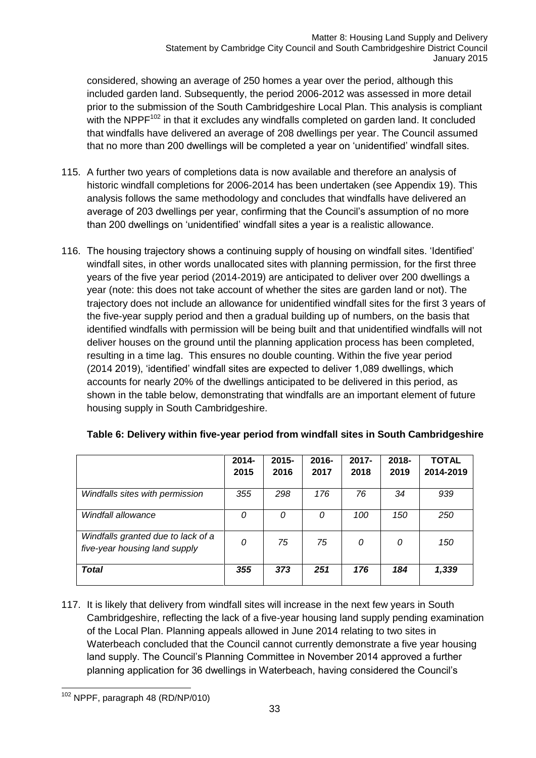considered, showing an average of 250 homes a year over the period, although this included garden land. Subsequently, the period 2006-2012 was assessed in more detail prior to the submission of the South Cambridgeshire Local Plan. This analysis is compliant with the NPPF<sup>102</sup> in that it excludes any windfalls completed on garden land. It concluded that windfalls have delivered an average of 208 dwellings per year. The Council assumed that no more than 200 dwellings will be completed a year on 'unidentified' windfall sites.

- 115. A further two years of completions data is now available and therefore an analysis of historic windfall completions for 2006-2014 has been undertaken (see Appendix 19). This analysis follows the same methodology and concludes that windfalls have delivered an average of 203 dwellings per year, confirming that the Council's assumption of no more than 200 dwellings on 'unidentified' windfall sites a year is a realistic allowance.
- 116. The housing trajectory shows a continuing supply of housing on windfall sites. 'Identified' windfall sites, in other words unallocated sites with planning permission, for the first three years of the five year period (2014-2019) are anticipated to deliver over 200 dwellings a year (note: this does not take account of whether the sites are garden land or not). The trajectory does not include an allowance for unidentified windfall sites for the first 3 years of the five-year supply period and then a gradual building up of numbers, on the basis that identified windfalls with permission will be being built and that unidentified windfalls will not deliver houses on the ground until the planning application process has been completed, resulting in a time lag. This ensures no double counting. Within the five year period (2014 2019), 'identified' windfall sites are expected to deliver 1,089 dwellings, which accounts for nearly 20% of the dwellings anticipated to be delivered in this period, as shown in the table below, demonstrating that windfalls are an important element of future housing supply in South Cambridgeshire.

|                                                                     | $2014 -$ | $2015 -$ | $2016 -$ | $2017 -$ | $2018 -$ | <b>TOTAL</b> |
|---------------------------------------------------------------------|----------|----------|----------|----------|----------|--------------|
|                                                                     | 2015     | 2016     | 2017     | 2018     | 2019     | 2014-2019    |
| Windfalls sites with permission                                     | 355      | 298      | 176      | 76       | 34       | 939          |
| Windfall allowance                                                  | 0        | 0        | 0        | 100      | 150      | 250          |
| Windfalls granted due to lack of a<br>five-year housing land supply | 0        | 75       | 75       | 0        | 0        | 150          |
| <b>Total</b>                                                        | 355      | 373      | 251      | 176      | 184      | 1,339        |

#### **Table 6: Delivery within five-year period from windfall sites in South Cambridgeshire**

117. It is likely that delivery from windfall sites will increase in the next few years in South Cambridgeshire, reflecting the lack of a five-year housing land supply pending examination of the Local Plan. Planning appeals allowed in June 2014 relating to two sites in Waterbeach concluded that the Council cannot currently demonstrate a five year housing land supply. The Council's Planning Committee in November 2014 approved a further planning application for 36 dwellings in Waterbeach, having considered the Council's

<sup>-</sup> $102$  NPPF, paragraph 48 (RD/NP/010)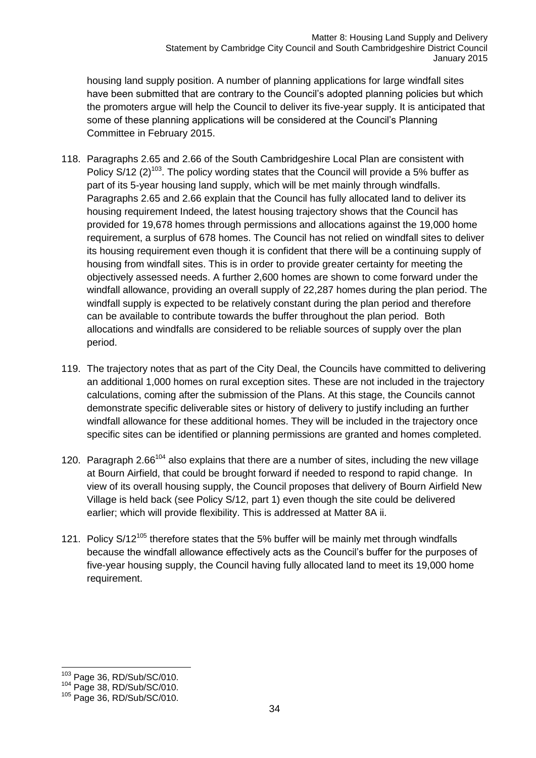housing land supply position. A number of planning applications for large windfall sites have been submitted that are contrary to the Council's adopted planning policies but which the promoters argue will help the Council to deliver its five-year supply. It is anticipated that some of these planning applications will be considered at the Council's Planning Committee in February 2015.

- 118. Paragraphs 2.65 and 2.66 of the South Cambridgeshire Local Plan are consistent with Policy S/12 (2)<sup>103</sup>. The policy wording states that the Council will provide a 5% buffer as part of its 5-year housing land supply, which will be met mainly through windfalls. Paragraphs 2.65 and 2.66 explain that the Council has fully allocated land to deliver its housing requirement Indeed, the latest housing trajectory shows that the Council has provided for 19,678 homes through permissions and allocations against the 19,000 home requirement, a surplus of 678 homes. The Council has not relied on windfall sites to deliver its housing requirement even though it is confident that there will be a continuing supply of housing from windfall sites. This is in order to provide greater certainty for meeting the objectively assessed needs. A further 2,600 homes are shown to come forward under the windfall allowance, providing an overall supply of 22,287 homes during the plan period. The windfall supply is expected to be relatively constant during the plan period and therefore can be available to contribute towards the buffer throughout the plan period. Both allocations and windfalls are considered to be reliable sources of supply over the plan period.
- 119. The trajectory notes that as part of the City Deal, the Councils have committed to delivering an additional 1,000 homes on rural exception sites. These are not included in the trajectory calculations, coming after the submission of the Plans. At this stage, the Councils cannot demonstrate specific deliverable sites or history of delivery to justify including an further windfall allowance for these additional homes. They will be included in the trajectory once specific sites can be identified or planning permissions are granted and homes completed.
- 120. Paragraph 2.66 $104$  also explains that there are a number of sites, including the new village at Bourn Airfield, that could be brought forward if needed to respond to rapid change. In view of its overall housing supply, the Council proposes that delivery of Bourn Airfield New Village is held back (see Policy S/12, part 1) even though the site could be delivered earlier; which will provide flexibility. This is addressed at Matter 8A ii.
- 121. Policy  $S/12^{105}$  therefore states that the 5% buffer will be mainly met through windfalls because the windfall allowance effectively acts as the Council's buffer for the purposes of five-year housing supply, the Council having fully allocated land to meet its 19,000 home requirement.

 $\overline{1}$ <sup>103</sup> Page 36, RD/Sub/SC/010.

<sup>104</sup> Page 38, RD/Sub/SC/010.

<sup>105</sup> Page 36, RD/Sub/SC/010.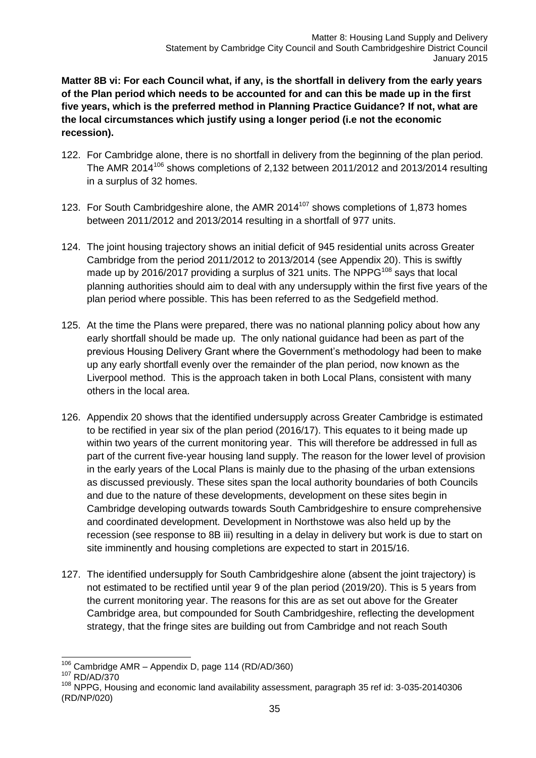**Matter 8B vi: For each Council what, if any, is the shortfall in delivery from the early years of the Plan period which needs to be accounted for and can this be made up in the first five years, which is the preferred method in Planning Practice Guidance? If not, what are the local circumstances which justify using a longer period (i.e not the economic recession).**

- 122. For Cambridge alone, there is no shortfall in delivery from the beginning of the plan period. The AMR 2014<sup>106</sup> shows completions of 2,132 between 2011/2012 and 2013/2014 resulting in a surplus of 32 homes.
- 123. For South Cambridgeshire alone, the AMR 2014 $107$  shows completions of 1,873 homes between 2011/2012 and 2013/2014 resulting in a shortfall of 977 units.
- 124. The joint housing trajectory shows an initial deficit of 945 residential units across Greater Cambridge from the period 2011/2012 to 2013/2014 (see Appendix 20). This is swiftly made up by 2016/2017 providing a surplus of 321 units. The NPPG $^{108}$  says that local planning authorities should aim to deal with any undersupply within the first five years of the plan period where possible. This has been referred to as the Sedgefield method.
- 125. At the time the Plans were prepared, there was no national planning policy about how any early shortfall should be made up. The only national guidance had been as part of the previous Housing Delivery Grant where the Government's methodology had been to make up any early shortfall evenly over the remainder of the plan period, now known as the Liverpool method. This is the approach taken in both Local Plans, consistent with many others in the local area.
- 126. Appendix 20 shows that the identified undersupply across Greater Cambridge is estimated to be rectified in year six of the plan period (2016/17). This equates to it being made up within two years of the current monitoring year. This will therefore be addressed in full as part of the current five-year housing land supply. The reason for the lower level of provision in the early years of the Local Plans is mainly due to the phasing of the urban extensions as discussed previously. These sites span the local authority boundaries of both Councils and due to the nature of these developments, development on these sites begin in Cambridge developing outwards towards South Cambridgeshire to ensure comprehensive and coordinated development. Development in Northstowe was also held up by the recession (see response to 8B iii) resulting in a delay in delivery but work is due to start on site imminently and housing completions are expected to start in 2015/16.
- 127. The identified undersupply for South Cambridgeshire alone (absent the joint trajectory) is not estimated to be rectified until year 9 of the plan period (2019/20). This is 5 years from the current monitoring year. The reasons for this are as set out above for the Greater Cambridge area, but compounded for South Cambridgeshire, reflecting the development strategy, that the fringe sites are building out from Cambridge and not reach South

 $\overline{1}$  $106$  Cambridge AMR – Appendix D, page 114 (RD/AD/360)

<sup>107</sup> RD/AD/370

<sup>108</sup> NPPG, Housing and economic land availability assessment, paragraph 35 ref id: 3-035-20140306 (RD/NP/020)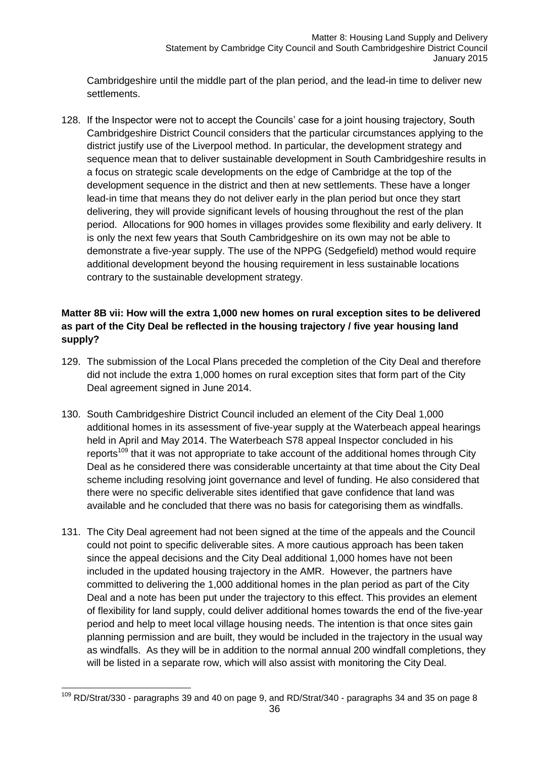Cambridgeshire until the middle part of the plan period, and the lead-in time to deliver new settlements.

128. If the Inspector were not to accept the Councils' case for a joint housing trajectory, South Cambridgeshire District Council considers that the particular circumstances applying to the district justify use of the Liverpool method. In particular, the development strategy and sequence mean that to deliver sustainable development in South Cambridgeshire results in a focus on strategic scale developments on the edge of Cambridge at the top of the development sequence in the district and then at new settlements. These have a longer lead-in time that means they do not deliver early in the plan period but once they start delivering, they will provide significant levels of housing throughout the rest of the plan period. Allocations for 900 homes in villages provides some flexibility and early delivery. It is only the next few years that South Cambridgeshire on its own may not be able to demonstrate a five-year supply. The use of the NPPG (Sedgefield) method would require additional development beyond the housing requirement in less sustainable locations contrary to the sustainable development strategy.

### **Matter 8B vii: How will the extra 1,000 new homes on rural exception sites to be delivered as part of the City Deal be reflected in the housing trajectory / five year housing land supply?**

- 129. The submission of the Local Plans preceded the completion of the City Deal and therefore did not include the extra 1,000 homes on rural exception sites that form part of the City Deal agreement signed in June 2014.
- 130. South Cambridgeshire District Council included an element of the City Deal 1,000 additional homes in its assessment of five-year supply at the Waterbeach appeal hearings held in April and May 2014. The Waterbeach S78 appeal Inspector concluded in his reports<sup>109</sup> that it was not appropriate to take account of the additional homes through City Deal as he considered there was considerable uncertainty at that time about the City Deal scheme including resolving joint governance and level of funding. He also considered that there were no specific deliverable sites identified that gave confidence that land was available and he concluded that there was no basis for categorising them as windfalls.
- 131. The City Deal agreement had not been signed at the time of the appeals and the Council could not point to specific deliverable sites. A more cautious approach has been taken since the appeal decisions and the City Deal additional 1,000 homes have not been included in the updated housing trajectory in the AMR. However, the partners have committed to delivering the 1,000 additional homes in the plan period as part of the City Deal and a note has been put under the trajectory to this effect. This provides an element of flexibility for land supply, could deliver additional homes towards the end of the five-year period and help to meet local village housing needs. The intention is that once sites gain planning permission and are built, they would be included in the trajectory in the usual way as windfalls. As they will be in addition to the normal annual 200 windfall completions, they will be listed in a separate row, which will also assist with monitoring the City Deal.

<sup>-</sup> $109$  RD/Strat/330 - paragraphs 39 and 40 on page 9, and RD/Strat/340 - paragraphs 34 and 35 on page 8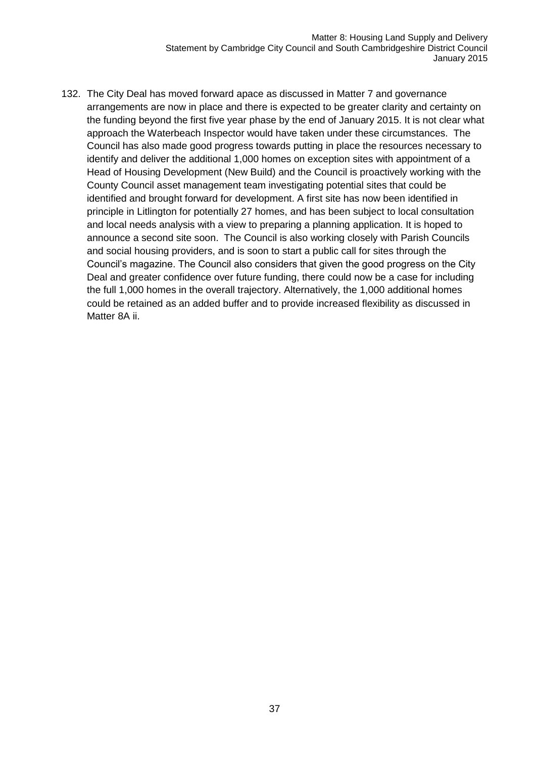Matter 8: Housing Land Supply and Delivery Statement by Cambridge City Council and South Cambridgeshire District Council January 2015

132. The City Deal has moved forward apace as discussed in Matter 7 and governance arrangements are now in place and there is expected to be greater clarity and certainty on the funding beyond the first five year phase by the end of January 2015. It is not clear what approach the Waterbeach Inspector would have taken under these circumstances. The Council has also made good progress towards putting in place the resources necessary to identify and deliver the additional 1,000 homes on exception sites with appointment of a Head of Housing Development (New Build) and the Council is proactively working with the County Council asset management team investigating potential sites that could be identified and brought forward for development. A first site has now been identified in principle in Litlington for potentially 27 homes, and has been subject to local consultation and local needs analysis with a view to preparing a planning application. It is hoped to announce a second site soon. The Council is also working closely with Parish Councils and social housing providers, and is soon to start a public call for sites through the Council's magazine. The Council also considers that given the good progress on the City Deal and greater confidence over future funding, there could now be a case for including the full 1,000 homes in the overall trajectory. Alternatively, the 1,000 additional homes could be retained as an added buffer and to provide increased flexibility as discussed in Matter 8A ii.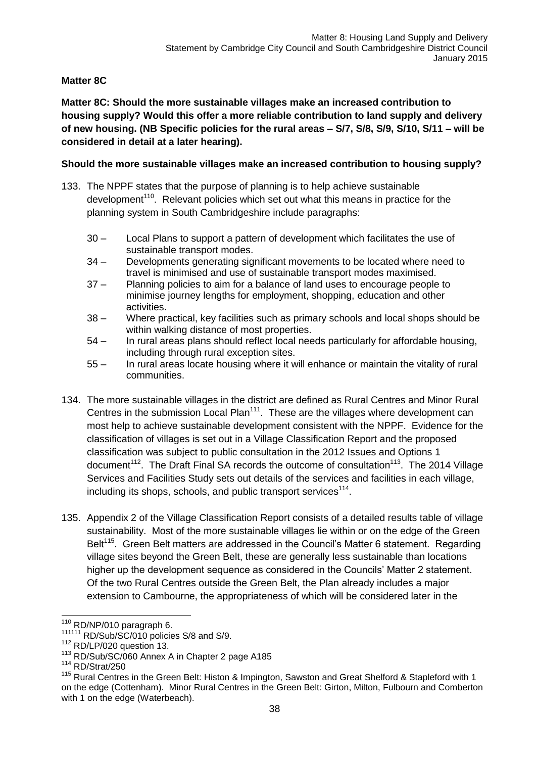#### **Matter 8C**

**Matter 8C: Should the more sustainable villages make an increased contribution to housing supply? Would this offer a more reliable contribution to land supply and delivery of new housing. (NB Specific policies for the rural areas – S/7, S/8, S/9, S/10, S/11 – will be considered in detail at a later hearing).**

#### **Should the more sustainable villages make an increased contribution to housing supply?**

- 133. The NPPF states that the purpose of planning is to help achieve sustainable development<sup>110</sup>. Relevant policies which set out what this means in practice for the planning system in South Cambridgeshire include paragraphs:
	- 30 Local Plans to support a pattern of development which facilitates the use of sustainable transport modes.
	- 34 Developments generating significant movements to be located where need to travel is minimised and use of sustainable transport modes maximised.
	- 37 Planning policies to aim for a balance of land uses to encourage people to minimise journey lengths for employment, shopping, education and other activities.
	- 38 Where practical, key facilities such as primary schools and local shops should be within walking distance of most properties.
	- 54 In rural areas plans should reflect local needs particularly for affordable housing, including through rural exception sites.
	- 55 In rural areas locate housing where it will enhance or maintain the vitality of rural communities.
- 134. The more sustainable villages in the district are defined as Rural Centres and Minor Rural Centres in the submission Local Plan<sup>111</sup>. These are the villages where development can most help to achieve sustainable development consistent with the NPPF. Evidence for the classification of villages is set out in a Village Classification Report and the proposed classification was subject to public consultation in the 2012 Issues and Options 1 document<sup>112</sup>. The Draft Final SA records the outcome of consultation<sup>113</sup>. The 2014 Village Services and Facilities Study sets out details of the services and facilities in each village, including its shops, schools, and public transport services<sup>114</sup>.
- 135. Appendix 2 of the Village Classification Report consists of a detailed results table of village sustainability. Most of the more sustainable villages lie within or on the edge of the Green Belt<sup>115</sup>. Green Belt matters are addressed in the Council's Matter 6 statement. Regarding village sites beyond the Green Belt, these are generally less sustainable than locations higher up the development sequence as considered in the Councils' Matter 2 statement. Of the two Rural Centres outside the Green Belt, the Plan already includes a major extension to Cambourne, the appropriateness of which will be considered later in the

-

 $110$  RD/NP/010 paragraph 6.

<sup>111111</sup> RD/Sub/SC/010 policies S/8 and S/9.

 $112$  RD/LP/020 question 13.

<sup>113</sup> RD/Sub/SC/060 Annex A in Chapter 2 page A185

<sup>114</sup> RD/Strat/250

<sup>&</sup>lt;sup>115</sup> Rural Centres in the Green Belt: Histon & Impington, Sawston and Great Shelford & Stapleford with 1 on the edge (Cottenham). Minor Rural Centres in the Green Belt: Girton, Milton, Fulbourn and Comberton with 1 on the edge (Waterbeach).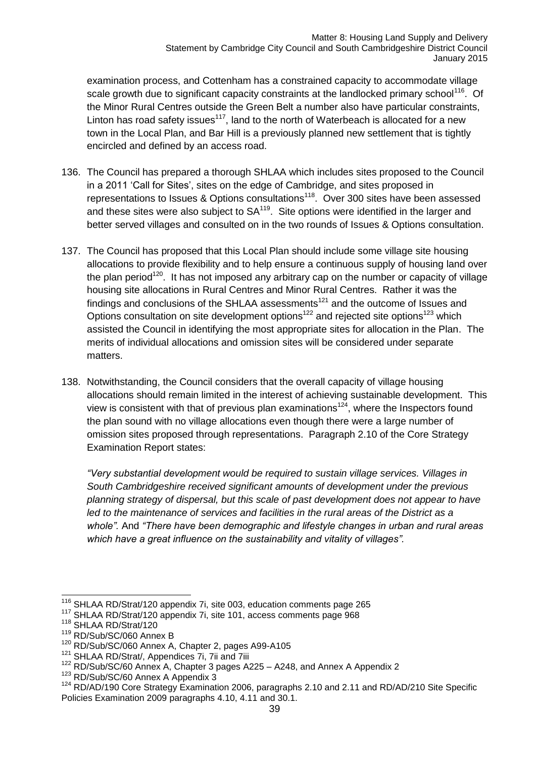examination process, and Cottenham has a constrained capacity to accommodate village scale growth due to significant capacity constraints at the landlocked primary school<sup>116</sup>. Of the Minor Rural Centres outside the Green Belt a number also have particular constraints, Linton has road safety issues<sup>117</sup>, land to the north of Waterbeach is allocated for a new town in the Local Plan, and Bar Hill is a previously planned new settlement that is tightly encircled and defined by an access road.

- 136. The Council has prepared a thorough SHLAA which includes sites proposed to the Council in a 2011 'Call for Sites', sites on the edge of Cambridge, and sites proposed in representations to Issues & Options consultations<sup>118</sup>. Over 300 sites have been assessed and these sites were also subject to  $SA^{119}$ . Site options were identified in the larger and better served villages and consulted on in the two rounds of Issues & Options consultation.
- 137. The Council has proposed that this Local Plan should include some village site housing allocations to provide flexibility and to help ensure a continuous supply of housing land over the plan period<sup>120</sup>. It has not imposed any arbitrary cap on the number or capacity of village housing site allocations in Rural Centres and Minor Rural Centres. Rather it was the findings and conclusions of the SHLAA assessments<sup>121</sup> and the outcome of Issues and Options consultation on site development options<sup>122</sup> and rejected site options<sup>123</sup> which assisted the Council in identifying the most appropriate sites for allocation in the Plan. The merits of individual allocations and omission sites will be considered under separate matters.
- 138. Notwithstanding, the Council considers that the overall capacity of village housing allocations should remain limited in the interest of achieving sustainable development. This view is consistent with that of previous plan examinations<sup>124</sup>, where the Inspectors found the plan sound with no village allocations even though there were a large number of omission sites proposed through representations. Paragraph 2.10 of the Core Strategy Examination Report states:

*"Very substantial development would be required to sustain village services. Villages in South Cambridgeshire received significant amounts of development under the previous planning strategy of dispersal, but this scale of past development does not appear to have*  led to the maintenance of services and facilities in the rural areas of the District as a *whole".* And *"There have been demographic and lifestyle changes in urban and rural areas which have a great influence on the sustainability and vitality of villages".*

 $\overline{1}$ 

<sup>123</sup> RD/Sub/SC/60 Annex A Appendix 3

 $116$  SHLAA RD/Strat/120 appendix 7i, site 003, education comments page 265

<sup>117</sup> SHLAA RD/Strat/120 appendix 7i, site 101, access comments page 968

<sup>118</sup> SHLAA RD/Strat/120

<sup>119</sup> RD/Sub/SC/060 Annex B

<sup>120</sup> RD/Sub/SC/060 Annex A, Chapter 2, pages A99-A105

<sup>&</sup>lt;sup>121</sup> SHLAA RD/Strat/, Appendices 7i, 7ii and 7iii

<sup>&</sup>lt;sup>122</sup> RD/Sub/SC/60 Annex A, Chapter 3 pages A225 - A248, and Annex A Appendix 2

<sup>&</sup>lt;sup>124</sup> RD/AD/190 Core Strategy Examination 2006, paragraphs 2.10 and 2.11 and RD/AD/210 Site Specific Policies Examination 2009 paragraphs 4.10, 4.11 and 30.1.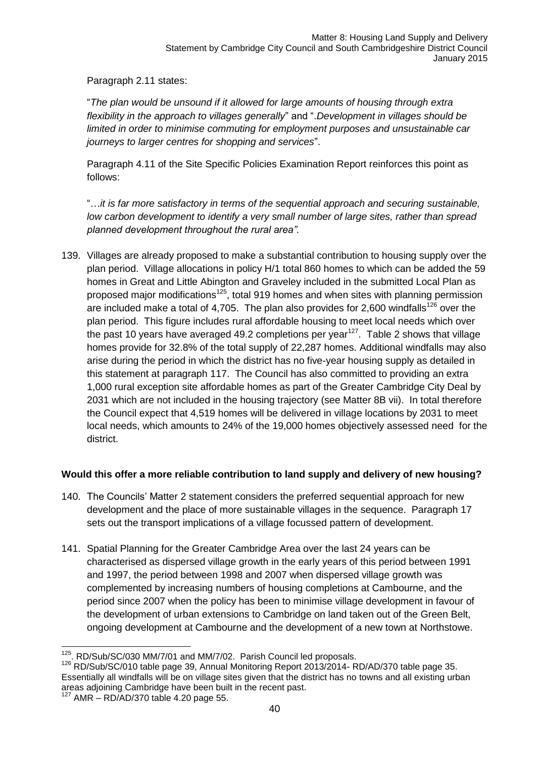Paragraph 2.11 states:

"*The plan would be unsound if it allowed for large amounts of housing through extra flexibility in the approach to villages generally*" and ".*Development in villages should be limited in order to minimise commuting for employment purposes and unsustainable car journeys to larger centres for shopping and services*".

Paragraph 4.11 of the Site Specific Policies Examination Report reinforces this point as follows:

"…*it is far more satisfactory in terms of the sequential approach and securing sustainable, low carbon development to identify a very small number of large sites, rather than spread planned development throughout the rural area".*

139. Villages are already proposed to make a substantial contribution to housing supply over the plan period. Village allocations in policy H/1 total 860 homes to which can be added the 59 homes in Great and Little Abington and Graveley included in the submitted Local Plan as proposed major modifications<sup>125</sup>, total 919 homes and when sites with planning permission are included make a total of 4,705. The plan also provides for 2,600 windfalls<sup>126</sup> over the plan period. This figure includes rural affordable housing to meet local needs which over the past 10 years have averaged 49.2 completions per year<sup>127</sup>. Table 2 shows that village homes provide for 32.8% of the total supply of 22,287 homes. Additional windfalls may also arise during the period in which the district has no five-year housing supply as detailed in this statement at paragraph 117. The Council has also committed to providing an extra 1,000 rural exception site affordable homes as part of the Greater Cambridge City Deal by 2031 which are not included in the housing trajectory (see Matter 8B vii). In total therefore the Council expect that 4,519 homes will be delivered in village locations by 2031 to meet local needs, which amounts to 24% of the 19,000 homes objectively assessed need for the district.

### **Would this offer a more reliable contribution to land supply and delivery of new housing?**

- 140. The Councils' Matter 2 statement considers the preferred sequential approach for new development and the place of more sustainable villages in the sequence. Paragraph 17 sets out the transport implications of a village focussed pattern of development.
- 141. Spatial Planning for the Greater Cambridge Area over the last 24 years can be characterised as dispersed village growth in the early years of this period between 1991 and 1997, the period between 1998 and 2007 when dispersed village growth was complemented by increasing numbers of housing completions at Cambourne, and the period since 2007 when the policy has been to minimise village development in favour of the development of urban extensions to Cambridge on land taken out of the Green Belt, ongoing development at Cambourne and the development of a new town at Northstowe.

<sup>-</sup><sup>125</sup>. RD/Sub/SC/030 MM/7/01 and MM/7/02. Parish Council led proposals.

<sup>&</sup>lt;sup>126</sup> RD/Sub/SC/010 table page 39, Annual Monitoring Report 2013/2014- RD/AD/370 table page 35. Essentially all windfalls will be on village sites given that the district has no towns and all existing urban areas adjoining Cambridge have been built in the recent past.

 $127$  AMR – RD/AD/370 table 4.20 page 55.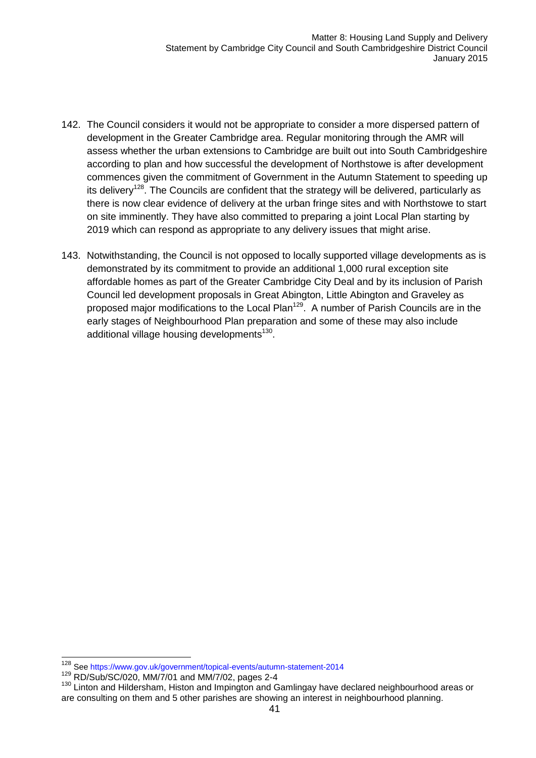- 142. The Council considers it would not be appropriate to consider a more dispersed pattern of development in the Greater Cambridge area. Regular monitoring through the AMR will assess whether the urban extensions to Cambridge are built out into South Cambridgeshire according to plan and how successful the development of Northstowe is after development commences given the commitment of Government in the Autumn Statement to speeding up its delivery<sup>128</sup>. The Councils are confident that the strategy will be delivered, particularly as there is now clear evidence of delivery at the urban fringe sites and with Northstowe to start on site imminently. They have also committed to preparing a joint Local Plan starting by 2019 which can respond as appropriate to any delivery issues that might arise.
- 143. Notwithstanding, the Council is not opposed to locally supported village developments as is demonstrated by its commitment to provide an additional 1,000 rural exception site affordable homes as part of the Greater Cambridge City Deal and by its inclusion of Parish Council led development proposals in Great Abington, Little Abington and Graveley as proposed major modifications to the Local Plan<sup>129</sup>. A number of Parish Councils are in the early stages of Neighbourhood Plan preparation and some of these may also include additional village housing developments<sup>130</sup>.

 $\overline{1}$ <sup>128</sup> See https://www.gov.uk/government/topical-events/autumn-statement-2014

<sup>129</sup> RD/Sub/SC/020, MM/7/01 and MM/7/02, pages 2-4

<sup>130</sup> Linton and Hildersham, Histon and Impington and Gamlingay have declared neighbourhood areas or are consulting on them and 5 other parishes are showing an interest in neighbourhood planning.